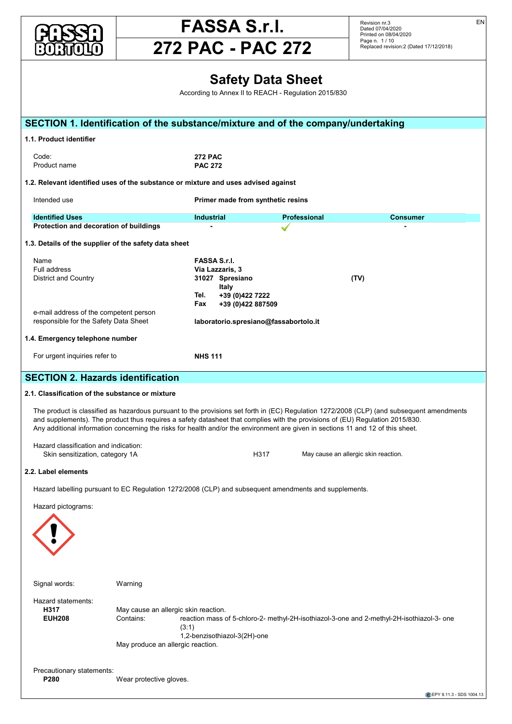



Revision nr.3 Dated 07/04/2020 Printed on 08/04/2020 Page n. 1 / 10 Replaced revision:2 (Dated 17/12/2018) EN

#### **Safety Data Sheet And All And Sheet Assets Assets** According to Annex II to REACH - Regulation 2015/830 SECTION 1. Identification of the substance/mixture and of the company/undertaking **The extinguishing extinguishing extinguishing extinguishing extinguishing extinguishing equipment showld be of the conventional kind: carbon dioxide, for the conventional kind: carbon dioxide, for the conventional convent** Code: **272 PAC 2.3.** Product name<br> **PAC 272** 1.2. Relevant identified uses of the substance or mixture and uses advised against Intended use **Example 20 Primer made from synthetic resins Identified Uses**<br> **1.3. Advice for Flash point + 60 °C industrial Consumer Professional Consumer Protection and decoration of buildings**<br> **SECTION 3. Composition** 3. Composition of individual interval in the section of the section of the section of the section of the section of the section of the section of the secti **1.3. Details of the supplier of the safety data sheet 3.2. Mixtures Name EXA Sens. 1A Skin sense. 1A SKIN SENSA S.r.l.** lucrătorilor împotriva riscurilor împotriva riscurilor împotriva al II-lea în provincia al II-lea în IV-lea în<br>Pull address District and Country **Control Country 11 Control Country 11 Control Country 11 Country 11 Country 11 Country 11 Country 11 Country 11 Country 11 Country 11 Country 11 Country 11 Country 11 Country 11 Country 11 Country 11 Italy Tel. +39 (0)422 7222** súvisiacimi s expozíciou chemickým faktorom pri práci v znení neskorších predpisov **Fax +39 (0)422 887509** Eax <br>e-mail address of the competent person<br> **responsible for the Safety Data Sheet <b>laboratorio.spresiano@fassabortolo.it**<br> **Iaboratorio.spresiano@fassabortolo.it** 1.4. Emergency telephone number For urgent inquiries refer to **NHS 111** NHS 111 **SECTION 2. Hazards identification 2.1. Classification of the substance or mixture reaction mass of 5-chloro-2- methyl-2H-isothiazol-3-one and 2-methyl-2H-isothiazol-3- one (3:1)** The product is classified as hazardous pursuant to the provisions set forth in (EC) Regulation 1272/2008 (CLP) (and subsequent amendments and supplements). The product thus requires a safety datasheet that complies with the provisions of (EU) Regulation 2015/830. Any additional information concerning the risks for health and/or the environment are given in sections 11 and 12 of this sheet. Hazard classification and indication: Skin sensitization, category 1A<br>Skin sensitization, category 1A and the state of the H317 May cause an allergic skin reaction. 2.2. Label elements and the state of the state of the state of the state of the state of the state of the state of the state of the state of the state of the state of the state of the state of the state of the state of the Hazard labelling pursuant to EC Regulation 1272/2008 (CLP) and subsequent amendments and supplements. **4.1. Description of first aid measures** Hazard pictograms: Signal words: Warning Warning Communication of the Signal words: Hazard statements:<br> **The solution of any incompatibilities** H317 May cause an allergic skin reaction. EUH208 Contains: Contains: reaction mass of 5-chloro-2- methyl-2H-isothiazol-3-one and 2-methyl-2H-isothiazol-3- one (3:1) ابن (3:1)<br>1,2-benzisothiazol-3(2H)-one r,z-benzisot.<br>May produce an allergic reaction. Precautionary statements: we want that the 98/24/EC directive is respected. **P280** Wear protective gloves. According to Annex II to REACH - Regulation 2015/830 name<br>Full address **the experiment of the experiment of Figure 1** website of Figure 1 materials website the experiment of the experiment of the experiment of the experiment of the experiment of the experiment of the experim **If the Concernity CONCERNITY CONCERNITY CONCERNITY** responsible for the Safety Data Sheet **head and allegency property and allegency** properties . Emergency telephone number<br>Viscosity Twa **Construction of the Case Tox. 2 H315, According To XXIII** C 444, According To the Tox. 3 H311, Skin Corr. 1990, Acute Tox. 3 H311, Skin Corr. 1990, Acute Tox. 3 H311, Skin Corr. 1990, Acute Tox. 3 H311, Skin Corr. 1990, **EXECUTE 1 H318, SKIN SENS. 14 H318, SKIN SENS. 14 H317, Aquatic Acute 1 H400 M=10, Aquatic Acute 1 H400 M=10, Aquatic Chronic 1 H410 M=1, EUH071** the provisions set forth in (EC) Regulation 1272/2008 (CLP) (and subseq **SECTION 4. FIRST AID MEASURES** Figure contact lenses, including the movement of water for at least 15 minutes, opening the eyelids fully. If  $p$ persists, seek medical advice.  $S_{\rm max}$  immediately with plenty of water. If it is interested clothing. If it is interested at the  $\alpha$ contaminated clothing before using it again.  $\blacksquare$ In Get medical advice vomiting only if indicated by the doctor. Never give any the doctor. Never give any the doctor. Never give any the doctor. Never give any the doctor. Never give any the doctor. Never give any the doc **SECTION 5. Firefighting measures** UNISUITABLE EXTINGUISHING EXTINGUISHING EXTINGUISHING EXTINGUISHING EXTINGUISHING EXTINGUISHING EXTINGUISHING Code: **1.2. Special hazards are substance or mixture or mixture or mixture or mixture or mixture Intended use Acute to Acute Toxic Toxics Primer mad** Use  $\mathbf{C}$  is the complex of the containers to product decomposition and the decomposition of substances potentially has results  $\mathbf{D}$ is the complete of the complete of the complete states.  $\sum_{n=1}^{\infty}$ self-contained open circuit positive pressure compressed air breathing apparatus (BS EN 137). **SECTION 6. Accidental release measures** The product must not perform or contact with surface water system or contact with surface water or ground water. Hazard labelling pursuant to EC Regulation 1272/2008 (CLP) and subsequent an **7.1. Precautions for safe handling**  $\mathbf{S}$  the product all the other sections of this material safety data sheet. Avoid leakage of the product into the product into the product into the product into the product into the product into the product into the p environment. Do not eat, drink or smoke during use. ESP España LÍMITES DE EXPOSICIÓN PROFESIONAL PARA AGENTES QUÍMICOS EN ESPAÑA 2019 FRA France Valeurs limites d'exposition professionnelle aux agents chimiques en France. ED 984 - INRS  $\mathbf{C}$  United Kingdom EH40,  $\mathbf{C}$  $\theta$  Pelevant identified uses of the substance or mixture and uses educed sasinet  $25$   $\ldots$   $25$   $\ldots$   $25$   $\ldots$   $25$   $\ldots$   $25$   $\ldots$   $25$   $\ldots$   $25$   $\ldots$   $25$ POL POLSKA ROZPORZĄDZENIE MINISTRA RODZINY, PRACY I POLITYKI SPOŁECZNEJ Z DODZINY, PRACY I POLITYKI SPOŁECZNEJ Z DODZINY, PRACY I POLITYKI SPOŁECZNEJ Z DODZINY, PRACY I POLITYKI SPOŁECZNEJ Z DODZINY Z DODZINY Z DODZINY Z D nuclear de Economia e do Emprego Constantino da Economia e do Español de presentado consolida as presentes mínimas em matéria de proteccional de presentado em mánimas em matéria de proteccional de proteccional de protectiv dos trabalhadores contra os riscos para a segurança e a saúde devido à exposição a agentes  $\mathbf e$  about  $\mathbf e$  $p_{\text{A}}$ SV SV SLOVENSKO NARIADENIE VLÁDKOV ČERVÁR ZA ZAROVANIE VLÁDA ZA MILITERATÚRY SO VLÁDY ZA MENÍ A NAROŽEV ROZVOD<br>Diatrický republiky, ktorým sa mení a doplady Slovenskej republiky, ktorým sa mení a doplady za mení a doplady nariadenie vládky č. 355/2006 Z. z. o ochrane zamestnancov pred rizikami zamestnancov pred rizikami zamestnan<br>Definición TLV-ACGIH ACCEPT<br>TLV-ACGIH 2019 and the free property of the free property of the free property of the set of the set of the set of the set of the set of the set of the set of the set of the set of the set of the set of the set of the set of the set of t WEL GENERAL SERVICE SERVICE SERVICE SERVICE SERVICE SERVICE SERVICE SERVICE SERVICE SERVICE SERVICE SERVICE SE 2.1. Classification of the substance or mixture ) product is classified as hazardous pursuant to the provisions set forth in (EC) Regulation  $\cdot$  $\mathcal{N}$  choosing personal protective equipment, as a set  $\mathcal{N}$  supplier for advice. The advice supplier for advice. Personal protective equipment must be CE marked, showing that it complies with applicable standards. Provide an emergency shower with face and eye wash station. HAND PROTECTION In the case of product, product, product, product, product, penetration-resistant work gloves (see standard EN 374). Signal words: wear warning and safety footwear (see Regulation 2016). Washington 2016/425 and standard EN ISO 2034 Hazard statements: **EUH208** Cor the emission producturing processes including processes generated by ventilation equipment, showled to ensure to ensure the checked to ensure the checked to ensure to ensure the checked to ensure to ensure to ensure the ch **9.1. Information on basic physical and chemical properties** Does not meet the classification criteria for this hazard class 1.1. Product identifier **the contract of the contract of the contract of the contract of the contract of the contract of the contract of the contract of the contract of the contract of the contract of the contract of the c** Appearance passed the past of the past of the past of the past of the past of the past of the past of the past  $\overline{C}$ odour light blue light blue light blue light blue light blue light blue light blue light blue light blue light blue light blue light blue light blue light blue light blue light blue light blue light blue light blu  $\overline{\phantom{a}}$  $\overline{p}$  . Pelevant identified uses of the substance or mixture Melting point and the continues of measure  $\sim$ Boiling range Not available to the contract of the contract of the contract of the contract of the contract of the contract of the contract of the contract of the contract of the contract of the contract of the contract of Frame and aboordered of sundings  $\mathbf{L}$  Detaile of the cumplier of the cofety data chect Upper interpret in the same of a value of  $\sim$ Diothecentra Country Not available not available to the prorelative density in the contract of the contract of the contract of the contract of the contract of the contract of the contract of the contract of the contract of the contract of the contract of the contract of the contra  $\begin{bmatrix} 1 & 0 \\ 0 & 1 \end{bmatrix}$ o mail dedicoo of the compotent person<br>reepensible for the Cafety Data Cheet of the decomposition of the Safety Data Sheet<br> **Haboratorio.s**<br> **Haboratorio.s** Explosive properties not available **9.2. Other information** The product is cla **10.3. Possibility of hazardous reactions** No hazardous reactions are foreseeable in normal conditions of use and storage. **10.4. Conditions to avoid 10.5. Incompatible materials** Information not available to the contract of the state of the state of the state of the state of the state of the state of the state of the state of the state of the state of the state of the state of the state of the stat **10.6. Hazardous decomposition products**  $T_{\rm{F}}$  research due to occupational  $\alpha$ cancer in humans. It nonetheless underlined that the risk does not pertain to all industrial situations nor all types of crystalline silica. In 2003, Product name<br>Product name **PAC 272** silicositicasis is higher protection is distributed with current occupational exposure limit  $\alpha$ 1.2. Relevant identified uses of the substance or mixture and uses advised  $M_{\rm H}$  metabolism, to  $M_{\rm H}$  and other information and other information and other information and other information and other information and other information and other information and other information and other in Information 2000<br>Destaction and decoration of buildings . Details of the supplier of the safety data sheet  $N = 2$  $\sum_{i=1}^{n}$  (i.e.  $\sum_{i=1}^{n}$  ) of the mixture:  $\sum_{i=1}^{n}$  $\mathcal{L}_{\mathcal{D}}$  of the mixture: Not classified (no significant component) (no significant component) (no significant component) ECTION 2. Hazards identification $\hskip.1cm \longrightarrow$ The product is classified as hazardous pursuant to the provisions set forth in (Eq. 2)  $r_{\rm c}$  methyl-2H-isothiazol-3-one and 2-methyl-2H-isothiazol-3-one and 2-methyl-2H-isothiazol-3- one (3:1)  $\overline{2}$ GERM CELL MUTAGENICITY Does not meet the classification criteria for this hazard class  $R = \frac{N}{2}$  $\mathcal{L}(\mathcal{S},\mathcal{I})$ STOT - SINGLE EXPOSURE EXPOSURE Does not meet the classification criteria for this hazard class  $\sum_{n=1}^{\infty}$ **1201.1.1.22 December 10.21 mg/l 2016.1.22 mg/l 28d mg/l 28d mg/l 28d mg/l 28d mg/l 28d mg/l 28d mg/l 28d mg/l 28d mg/l 28d mg/l 28d mg/l 28d mg/l 28d mg/l 28d mg/l 28d mg/l 28d mg/l 28d mg/l 28d mg/l 28d mg/l 28d mg/l 28d**  $\begin{array}{ccc} \text{E.} & \text{E.} & \text{E.} \\ \text{E.} & \text{E.} & \text{E.} \\ \text{E.} & \text{E.} & \text{E.} \end{array}$ chronic No. 1996<br>Tol 1996  $\frac{100}{200}$  for  $\frac{120}{20}$ responsible for the Safety Data Sheet **Fig. 12.1 Iaboratorio.spresiano@fassabortolo.it**  $\Box$  Emergency tolenhone number Energone, the premium cannot Chronic Andeles for Fish 0,098 mg/l 28 mg/l 28 mg/l 28 mg/l 28 mg/l 28 mg/l 28 mg/l 28 mg/l 28 mg/l 28d mg/l 28 Chronic NOEC for Crustacea 0,004 mg/l 21d <u>FCTION 2. Hazards identification</u> Hazard classification and indication: Hazard labelling pursuant to EC Regulation 1272/2008 (CLP) and subseguent amendments and supplements.  $\langle \cdot | \cdot \rangle$  $\mathcal{L}$  for  $\mathcal{L}$  and  $\mathcal{L}$  and  $\mathcal{L}$ Hazard statements:<br>-SECTION 1. Identification of the substance/mixture and of the company/undertaking Disposal must be performed through an authorised waste management firm, in compliance with national and local regulations. Contaminated packaging must be recovered or disposed of in compliance with national waste management regulations. Substances in Candidate List (Art. 59 REACH)  $\mathcal{O}(\mathcal{A})$  of available data, the product does not contain any SVHC in percentage greater than 0,1%.  $\mathbf{V}$  subject to authorisation (Annex XIV  $\mathbf{V}$  $\overline{\text{S}}$  $h_{\text{total}}$  is a secondaring to  $h_{\text{total}}$  in the government of crystalline silica and products containing to  $h_{\text{total}}$  and  $h_{\text{total}}$ Acute to **Acute to Acute to Acute to Acute to Acute to Acute to Acute to Acute to Acute to Acute to Acute to Acu Protection and decoration of buildings of the Merck Index.** -Stand of the cappiter of the carefy data cheet **Acute 1** Hazardous to the acute 1 Hazardous to the acute to the aquatic environment, acute to category 1 Hazardous 1 Hazardous 1 Hazardous 1 Hazardous 1 Hazardous 1 Hazardous 1 Hazardous 1 Hazardous 1 Hazardous 1 Hazardou 31027 Spresiano **Aquatic Chronic 2** Hazardous to the aquatic environment, chronic toxicity, category 2 **H310** Fatal in contact with skin. **H**<br>**H**<sub>rman</sub> Harmful is swarted to the swarted of the swarted of the swarted of the swarted of the swarted of the swarted of the swarted of the swarted of the swarted of the swarted of the swarted of the swarted of the sw **H314** Causes severe skin burns and eye damage. . Emergency telephone number<br>. **H<sub>11</sub>** May cause and the cause and the cause and the cause and the cause of  $\frac{1}{2}$ H10N 2. Hazards identification with long lasting with long lasting  $\sim$ . Classification of the substance or mixture **EU of the CLP Regulation methods set out in Annex I** of the CLP Regulations of the Substance or mixture Hazard labelling pursuant to EC Regulation 1272/2008 (CLP) and subsequent  $\wedge$  IMDG: International Maritime Code for dangerous goods  $\wedge$  $\sqrt{N}$  $\left\langle \right|$  $\blacksquare$ - LD50: Lethal dose 50% - PEC: Predicted environmental Concentration Hazard statements: - TLV: Threshold Limit Value  $(3:1)$ - TWA STEL: Short-term exposure limit way produce an a  $\Omega$  coording to  $\Omega$  $3.000$  and  $9.000$  and  $9.00$ 5. Regulation (EU) 286/2011 (II Atp. CLP) of the European Parliament ECTION 1. Identification of the substance/mixtu  $1272$  PAC Product hame **European Parliament CLP PAC** 272  $\scriptstyle\rm I$ . Relevant identified uses of the substai  $\,$  Details of the supplier of the safety data she - Database of SDS models for chemicals - Ministry of Health and ISS (Istituto Superiore di Sanità) - Italy

**EPY 9.11.3 - SDS 1004.13**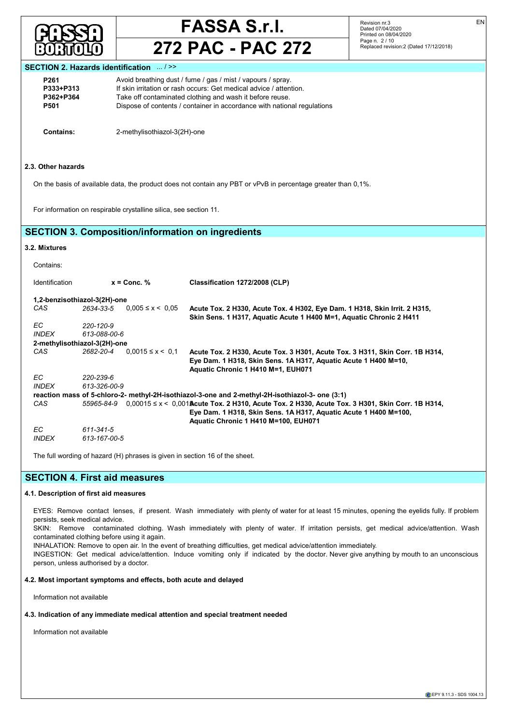

## **272 PAC - PAC 272**

Revision nr.3 Dated 07/04/2020 Printed on 08/04/2020 Page n. 2 / 10 Replaced revision:2 (Dated 17/12/2018) EN

## **SECTION 2. Hazards identification** ... / >>

| P <sub>261</sub> | Avoid breathing dust / fume / gas / mist / vapours / spray.             |
|------------------|-------------------------------------------------------------------------|
| P333+P313        | If skin irritation or rash occurs: Get medical advice / attention.      |
| P362+P364        | Take off contaminated clothing and wash it before reuse.                |
| P501             | Dispose of contents / container in accordance with national regulations |

**Contains:** 2-methylisothiazol-3(2H)-one

#### **2.3. Other hazards**

On the basis of available data, the product does not contain any PBT or vPvB in percentage greater than 0,1%.

For information on respirable crystalline silica, see section 11.

## **SECTION 3. Composition/information on ingredients**

## **3.2. Mixtures**

|              | Classification 1272/2008 (CLP)                                                                                                                                                                                         |
|--------------|------------------------------------------------------------------------------------------------------------------------------------------------------------------------------------------------------------------------|
|              |                                                                                                                                                                                                                        |
| 2634-33-5    | Acute Tox. 2 H330, Acute Tox. 4 H302, Eye Dam. 1 H318, Skin Irrit. 2 H315,<br>Skin Sens. 1 H317, Aquatic Acute 1 H400 M=1, Aquatic Chronic 2 H411                                                                      |
| 220-120-9    |                                                                                                                                                                                                                        |
| 613-088-00-6 |                                                                                                                                                                                                                        |
|              |                                                                                                                                                                                                                        |
| 2682-20-4    | Acute Tox. 2 H330, Acute Tox. 3 H301, Acute Tox. 3 H311, Skin Corr. 1B H314,<br>Eye Dam. 1 H318, Skin Sens. 1A H317, Aquatic Acute 1 H400 M=10,<br>Aquatic Chronic 1 H410 M=1, EUH071                                  |
| 220-239-6    |                                                                                                                                                                                                                        |
| 613-326-00-9 |                                                                                                                                                                                                                        |
|              | reaction mass of 5-chloro-2- methyl-2H-isothiazol-3-one and 2-methyl-2H-isothiazol-3- one (3:1)                                                                                                                        |
| 55965-84-9   | $0,00015$ ≤ x < 0,001 <b>A</b> cute Tox. 2 H310, Acute Tox. 2 H330, Acute Tox. 3 H301, Skin Corr. 1B H314,<br>Eye Dam. 1 H318, Skin Sens. 1A H317, Aquatic Acute 1 H400 M=100,<br>Aquatic Chronic 1 H410 M=100, EUH071 |
| 611-341-5    |                                                                                                                                                                                                                        |
| 613-167-00-5 |                                                                                                                                                                                                                        |
|              | $x =$ Conc. $%$<br>1,2-benzisothiazol-3(2H)-one<br>$0.005 \le x \le 0.05$<br>2-methylisothiazol-3(2H)-one<br>$0.0015 \le x \le 0.1$                                                                                    |

The full wording of hazard (H) phrases is given in section 16 of the sheet.

## **SECTION 4. First aid measures**

## **4.1. Description of first aid measures**

EYES: Remove contact lenses, if present. Wash immediately with plenty of water for at least 15 minutes, opening the eyelids fully. If problem persists, seek medical advice.

SKIN: Remove contaminated clothing. Wash immediately with plenty of water. If irritation persists, get medical advice/attention. Wash contaminated clothing before using it again.

INHALATION: Remove to open air. In the event of breathing difficulties, get medical advice/attention immediately.

INGESTION: Get medical advice/attention. Induce vomiting only if indicated by the doctor. Never give anything by mouth to an unconscious person, unless authorised by a doctor.

## **4.2. Most important symptoms and effects, both acute and delayed**

Information not available

## **4.3. Indication of any immediate medical attention and special treatment needed**

Information not available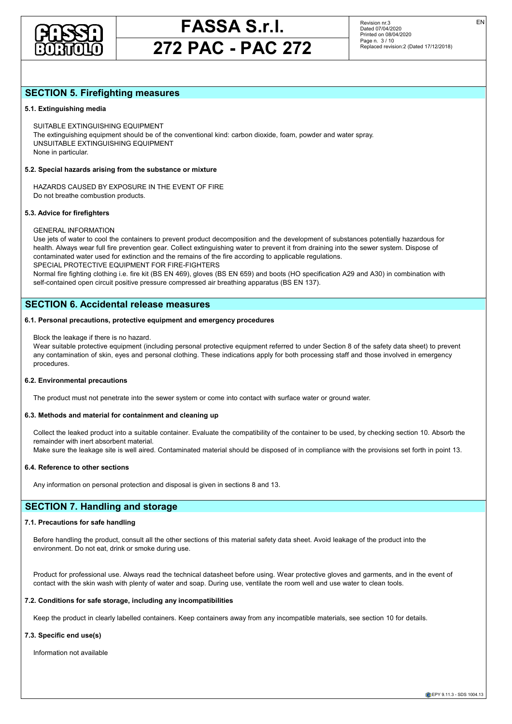

## **272 PAC - PAC 272**

EN

## **SECTION 5. Firefighting measures**

### **5.1. Extinguishing media**

SUITABLE EXTINGUISHING EQUIPMENT The extinguishing equipment should be of the conventional kind: carbon dioxide, foam, powder and water spray. UNSUITABLE EXTINGUISHING EQUIPMENT None in particular.

#### **5.2. Special hazards arising from the substance or mixture**

HAZARDS CAUSED BY EXPOSURE IN THE EVENT OF FIRE Do not breathe combustion products.

## **5.3. Advice for firefighters**

## GENERAL INFORMATION

Use jets of water to cool the containers to prevent product decomposition and the development of substances potentially hazardous for health. Always wear full fire prevention gear. Collect extinguishing water to prevent it from draining into the sewer system. Dispose of contaminated water used for extinction and the remains of the fire according to applicable regulations. SPECIAL PROTECTIVE EQUIPMENT FOR FIRE-FIGHTERS

Normal fire fighting clothing i.e. fire kit (BS EN 469), gloves (BS EN 659) and boots (HO specification A29 and A30) in combination with self-contained open circuit positive pressure compressed air breathing apparatus (BS EN 137).

## **SECTION 6. Accidental release measures**

### **6.1. Personal precautions, protective equipment and emergency procedures**

#### Block the leakage if there is no hazard.

Wear suitable protective equipment (including personal protective equipment referred to under Section 8 of the safety data sheet) to prevent any contamination of skin, eyes and personal clothing. These indications apply for both processing staff and those involved in emergency procedures.

#### **6.2. Environmental precautions**

The product must not penetrate into the sewer system or come into contact with surface water or ground water.

#### **6.3. Methods and material for containment and cleaning up**

Collect the leaked product into a suitable container. Evaluate the compatibility of the container to be used, by checking section 10. Absorb the remainder with inert absorbent material.

Make sure the leakage site is well aired. Contaminated material should be disposed of in compliance with the provisions set forth in point 13.

#### **6.4. Reference to other sections**

Any information on personal protection and disposal is given in sections 8 and 13.

## **SECTION 7. Handling and storage**

### **7.1. Precautions for safe handling**

Before handling the product, consult all the other sections of this material safety data sheet. Avoid leakage of the product into the environment. Do not eat, drink or smoke during use.

Product for professional use. Always read the technical datasheet before using. Wear protective gloves and garments, and in the event of contact with the skin wash with plenty of water and soap. During use, ventilate the room well and use water to clean tools.

### **7.2. Conditions for safe storage, including any incompatibilities**

Keep the product in clearly labelled containers. Keep containers away from any incompatible materials, see section 10 for details.

## **7.3. Specific end use(s)**

Information not available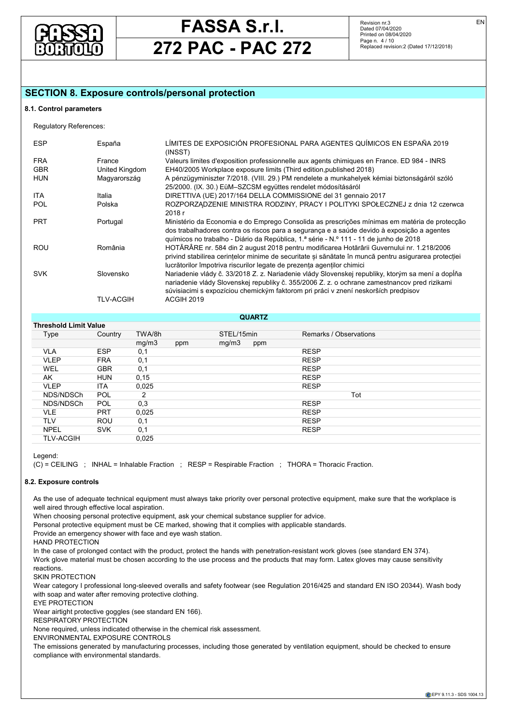

## **272 PAC - PAC 272**

Revision nr.3 Dated 07/04/2020 Printed on 08/04/2020 Page n. 4 / 10 Replaced revision:2 (Dated 17/12/2018)

## **SECTION 8. Exposure controls/personal protection**

### **8.1. Control parameters**

| <b>ESP</b> | España         | LÍMITES DE EXPOSICIÓN PROFESIONAL PARA AGENTES QUÍMICOS EN ESPAÑA 2019<br>(INSST)                                                                                                                                                                                                      |
|------------|----------------|----------------------------------------------------------------------------------------------------------------------------------------------------------------------------------------------------------------------------------------------------------------------------------------|
| <b>FRA</b> | France         | Valeurs limites d'exposition professionnelle aux agents chimiques en France. ED 984 - INRS                                                                                                                                                                                             |
| <b>GBR</b> | United Kingdom | EH40/2005 Workplace exposure limits (Third edition, published 2018)                                                                                                                                                                                                                    |
| <b>HUN</b> | Magyarország   | A pénzügyminiszter 7/2018. (VIII. 29.) PM rendelete a munkahelyek kémiai biztonságáról szóló                                                                                                                                                                                           |
|            |                | 25/2000. (IX. 30.) EüM-SZCSM együttes rendelet módosításáról                                                                                                                                                                                                                           |
| <b>ITA</b> | Italia         | DIRETTIVA (UE) 2017/164 DELLA COMMISSIONE del 31 gennaio 2017                                                                                                                                                                                                                          |
| <b>POL</b> | Polska         | ROZPORZADZENIE MINISTRA RODZINY, PRACY I POLITYKI SPOŁECZNEJ z dnia 12 czerwca                                                                                                                                                                                                         |
|            |                | 2018 r                                                                                                                                                                                                                                                                                 |
| <b>PRT</b> | Portugal       | Ministério da Economia e do Emprego Consolida as prescrições mínimas em matéria de protecção<br>dos trabalhadores contra os riscos para a segurança e a saúde devido à exposição a agentes<br>guímicos no trabalho - Diário da República, 1.ª série - N.º 111 - 11 de junho de 2018    |
| <b>ROU</b> | România        | HOTĂRÂRE nr. 584 din 2 august 2018 pentru modificarea Hotărârii Guvernului nr. 1.218/2006<br>privind stabilirea cerințelor minime de securitate și sănătate în muncă pentru asigurarea protecției<br>lucrătorilor împotriva riscurilor legate de prezenta agentilor chimici            |
| <b>SVK</b> | Slovensko      | Nariadenie vlády č. 33/2018 Z. z. Nariadenie vlády Slovenskej republiky, ktorým sa mení a dopĺňa<br>nariadenie vlády Slovenskej republiky č. 355/2006 Z. z. o ochrane zamestnancov pred rizikami<br>súvisiacimi s expozíciou chemickým faktorom pri práci v znení neskorších predpisov |
|            | TLV-ACGIH      | ACGIH 2019                                                                                                                                                                                                                                                                             |
|            |                |                                                                                                                                                                                                                                                                                        |

## **QUARTZ**

| <b>Threshold Limit Value</b> |            |        |     |            |     |                        |
|------------------------------|------------|--------|-----|------------|-----|------------------------|
| Type                         | Country    | TWA/8h |     | STEL/15min |     | Remarks / Observations |
|                              |            | mg/m3  | ppm | mg/m3      | ppm |                        |
| <b>VLA</b>                   | <b>ESP</b> | 0,1    |     |            |     | <b>RESP</b>            |
| <b>VLEP</b>                  | <b>FRA</b> | 0,1    |     |            |     | <b>RESP</b>            |
| <b>WEL</b>                   | <b>GBR</b> | 0,1    |     |            |     | <b>RESP</b>            |
| AK                           | <b>HUN</b> | 0, 15  |     |            |     | <b>RESP</b>            |
| <b>VLEP</b>                  | <b>ITA</b> | 0,025  |     |            |     | <b>RESP</b>            |
| NDS/NDSCh                    | <b>POL</b> | 2      |     |            |     | Tot                    |
| NDS/NDSCh                    | <b>POL</b> | 0,3    |     |            |     | <b>RESP</b>            |
| <b>VLE</b>                   | <b>PRT</b> | 0,025  |     |            |     | <b>RESP</b>            |
| <b>TLV</b>                   | ROU        | 0,1    |     |            |     | <b>RESP</b>            |
| <b>NPEL</b>                  | <b>SVK</b> | 0,1    |     |            |     | <b>RESP</b>            |
| <b>TLV-ACGIH</b>             |            | 0,025  |     |            |     |                        |

Legend:

(C) = CEILING ; INHAL = Inhalable Fraction ; RESP = Respirable Fraction ; THORA = Thoracic Fraction.

### **8.2. Exposure controls**

As the use of adequate technical equipment must always take priority over personal protective equipment, make sure that the workplace is well aired through effective local aspiration.

When choosing personal protective equipment, ask your chemical substance supplier for advice.

Personal protective equipment must be CE marked, showing that it complies with applicable standards.

Provide an emergency shower with face and eye wash station.

HAND PROTECTION

In the case of prolonged contact with the product, protect the hands with penetration-resistant work gloves (see standard EN 374). Work glove material must be chosen according to the use process and the products that may form. Latex gloves may cause sensitivity reactions.

SKIN PROTECTION

Wear category I professional long-sleeved overalls and safety footwear (see Regulation 2016/425 and standard EN ISO 20344). Wash body with soap and water after removing protective clothing.

EYE PROTECTION

Wear airtight protective goggles (see standard EN 166).

RESPIRATORY PROTECTION

None required, unless indicated otherwise in the chemical risk assessment.

ENVIRONMENTAL EXPOSURE CONTROLS

The emissions generated by manufacturing processes, including those generated by ventilation equipment, should be checked to ensure compliance with environmental standards.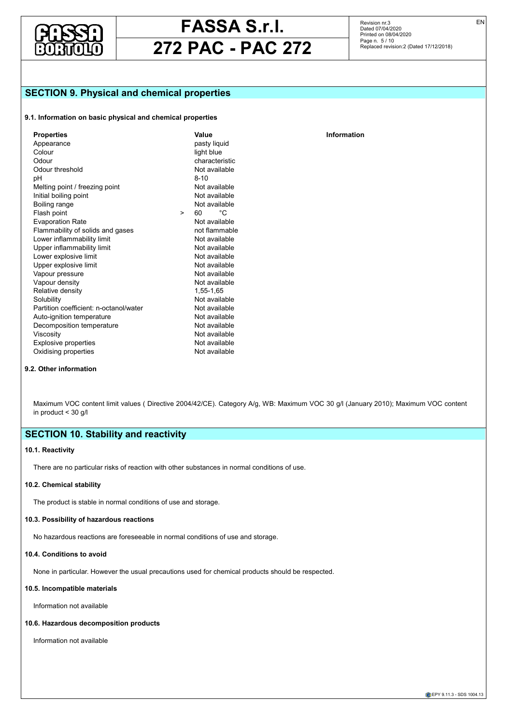

Revision nr.3 Dated 07/04/2020 Printed on 08/04/2020 Page n. 5 / 10 Replaced revision:2 (Dated 17/12/2018)

**Information** 

## **SECTION 9. Physical and chemical properties**

## **9.1. Information on basic physical and chemical properties**

| <b>Properties</b>                      |        | Value          |
|----------------------------------------|--------|----------------|
| Appearance                             |        | pasty liquid   |
| Colour                                 |        | light blue     |
| Odour                                  |        | characteristic |
| Odour threshold                        |        | Not available  |
| рH                                     |        | $8-10$         |
| Melting point / freezing point         |        | Not available  |
| Initial boiling point                  |        | Not available  |
| Boiling range                          |        | Not available  |
| Flash point                            | $\geq$ | °C             |
| <b>Evaporation Rate</b>                |        | Not available  |
| Flammability of solids and gases       |        | not flammable  |
| Lower inflammability limit             |        | Not available  |
| Upper inflammability limit             |        | Not available  |
| Lower explosive limit                  |        | Not available  |
| Upper explosive limit                  |        | Not available  |
| Vapour pressure                        |        | Not available  |
| Vapour density                         |        | Not available  |
| Relative density                       |        | 1,55-1,65      |
| Solubility                             |        | Not available  |
| Partition coefficient: n-octanol/water |        | Not available  |
| Auto-ignition temperature              |        | Not available  |
| Decomposition temperature              |        | Not available  |
| Viscosity                              |        | Not available  |
| <b>Explosive properties</b>            |        | Not available  |
| Oxidising properties                   |        | Not available  |

### **9.2. Other information**

Maximum VOC content limit values ( Directive 2004/42/CE). Category A/g, WB: Maximum VOC 30 g/l (January 2010); Maximum VOC content in product < 30 g/l

## **SECTION 10. Stability and reactivity**

## **10.1. Reactivity**

There are no particular risks of reaction with other substances in normal conditions of use.

### **10.2. Chemical stability**

The product is stable in normal conditions of use and storage.

### **10.3. Possibility of hazardous reactions**

No hazardous reactions are foreseeable in normal conditions of use and storage.

#### **10.4. Conditions to avoid**

None in particular. However the usual precautions used for chemical products should be respected.

### **10.5. Incompatible materials**

Information not available

#### **10.6. Hazardous decomposition products**

Information not available

EN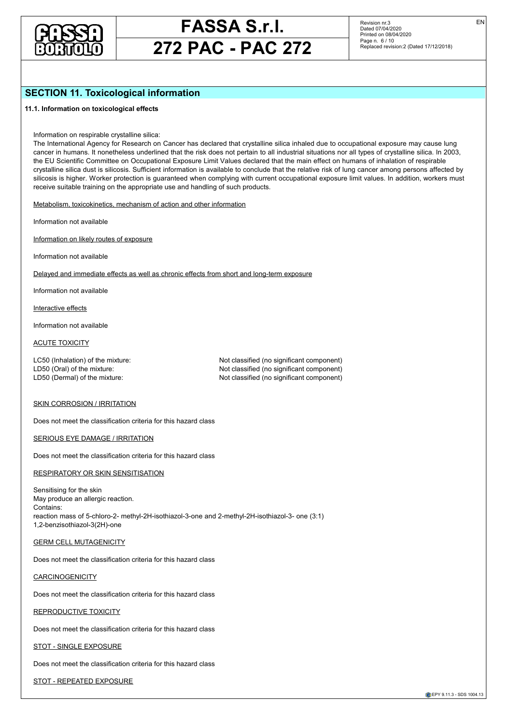

## **272 PAC - PAC 272**

Revision nr.3 Dated 07/04/2020 Printed on 08/04/2020 Page n. 6 / 10 Replaced revision:2 (Dated 17/12/2018) EN

## **SECTION 11. Toxicological information**

### **11.1. Information on toxicological effects**

Information on respirable crystalline silica:

The International Agency for Research on Cancer has declared that crystalline silica inhaled due to occupational exposure may cause lung cancer in humans. It nonetheless underlined that the risk does not pertain to all industrial situations nor all types of crystalline silica. In 2003, the EU Scientific Committee on Occupational Exposure Limit Values declared that the main effect on humans of inhalation of respirable crystalline silica dust is silicosis. Sufficient information is available to conclude that the relative risk of lung cancer among persons affected by silicosis is higher. Worker protection is guaranteed when complying with current occupational exposure limit values. In addition, workers must receive suitable training on the appropriate use and handling of such products.

Metabolism, toxicokinetics, mechanism of action and other information

Information not available

Information on likely routes of exposure

Information not available

Delayed and immediate effects as well as chronic effects from short and long-term exposure

Information not available

Interactive effects

Information not available

## ACUTE TOXICITY

LC50 (Inhalation) of the mixture: Not classified (no significant component) LD50 (Oral) of the mixture: Not classified (no significant component) LD50 (Dermal) of the mixture:  $\blacksquare$  Not classified (no significant component)

#### SKIN CORROSION / IRRITATION

Does not meet the classification criteria for this hazard class

SERIOUS EYE DAMAGE / IRRITATION

Does not meet the classification criteria for this hazard class

RESPIRATORY OR SKIN SENSITISATION

Sensitising for the skin May produce an allergic reaction. Contains: reaction mass of 5-chloro-2- methyl-2H-isothiazol-3-one and 2-methyl-2H-isothiazol-3- one (3:1) 1,2-benzisothiazol-3(2H)-one

GERM CELL MUTAGENICITY

Does not meet the classification criteria for this hazard class

**CARCINOGENICITY** 

Does not meet the classification criteria for this hazard class

REPRODUCTIVE TOXICITY

Does not meet the classification criteria for this hazard class

STOT - SINGLE EXPOSURE

Does not meet the classification criteria for this hazard class

STOT - REPEATED EXPOSURE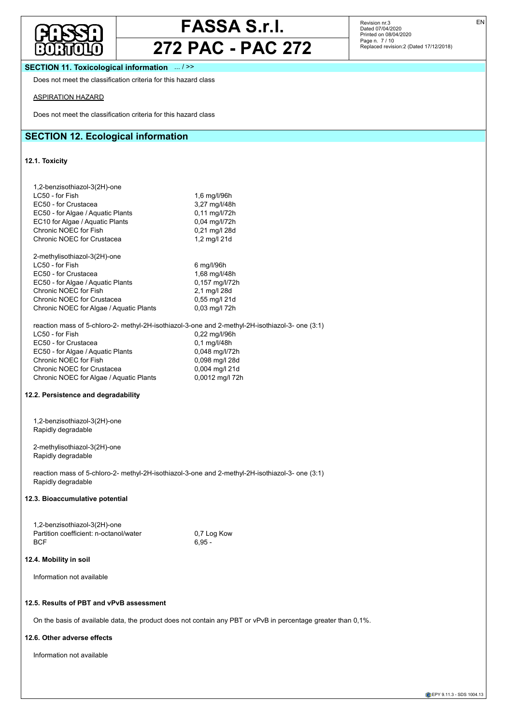

## **272 PAC - PAC 272**

Revision nr.3<br>Dated 07/04/2020<br>Printed on 08/04/2020<br>Page n. 7 / 10<br>Replaced revision:2 (Dated 17/12/2018)

## **SECTION 11. Toxicological information** ... / >>

Does not meet the classification criteria for this hazard class

### ASPIRATION HAZARD

Does not meet the classification criteria for this hazard class

## **SECTION 12. Ecological information**

## **12.1. Toxicity**

| 1,2-benzisothiazol-3(2H)-one<br>LC50 - for Fish<br>EC50 - for Crustacea<br>EC50 - for Algae / Aquatic Plants<br>EC10 for Algae / Aquatic Plants<br>Chronic NOEC for Fish<br>Chronic NOEC for Crustacea                                                                                                                   | 1,6 mg/l/96h<br>3,27 mg/l/48h<br>0,11 mg/l/72h<br>0,04 mg/l/72h<br>0,21 mg/l 28d<br>1,2 mg/l $21d$            |
|--------------------------------------------------------------------------------------------------------------------------------------------------------------------------------------------------------------------------------------------------------------------------------------------------------------------------|---------------------------------------------------------------------------------------------------------------|
| 2-methylisothiazol-3(2H)-one<br>LC50 - for Fish<br>EC50 - for Crustacea<br>EC50 - for Algae / Aquatic Plants<br>Chronic NOEC for Fish<br>Chronic NOEC for Crustacea<br>Chronic NOEC for Algae / Aquatic Plants                                                                                                           | 6 mg/l/96h<br>1,68 mg/l/48h<br>0,157 mg/l/72h<br>2,1 mg/l 28d<br>0,55 mg/l 21d<br>0,03 mg/l 72h               |
| reaction mass of 5-chloro-2- methyl-2H-isothiazol-3-one and 2-methyl-2H-isothiazol-3- one (3:1)<br>LC50 - for Fish<br>EC50 - for Crustacea<br>EC50 - for Algae / Aquatic Plants<br>Chronic NOEC for Fish<br>Chronic NOEC for Crustacea<br>Chronic NOEC for Algae / Aquatic Plants<br>12.2. Persistence and degradability | 0,22 mg/l/96h<br>0,1 mg/l/48h<br>0,048 mg/l/72h<br>0,098 mg/l 28d<br>0,004 mg/l 21d<br>0,0012 mg/l 72h        |
| 1,2-benzisothiazol-3(2H)-one<br>Rapidly degradable                                                                                                                                                                                                                                                                       |                                                                                                               |
| 2-methylisothiazol-3(2H)-one<br>Rapidly degradable                                                                                                                                                                                                                                                                       |                                                                                                               |
| reaction mass of 5-chloro-2- methyl-2H-isothiazol-3-one and 2-methyl-2H-isothiazol-3- one (3:1)<br>Rapidly degradable                                                                                                                                                                                                    |                                                                                                               |
| 12.3. Bioaccumulative potential                                                                                                                                                                                                                                                                                          |                                                                                                               |
| 1,2-benzisothiazol-3(2H)-one<br>Partition coefficient: n-octanol/water<br><b>BCF</b>                                                                                                                                                                                                                                     | 0.7 Log Kow<br>$6,95 -$                                                                                       |
| 12.4. Mobility in soil                                                                                                                                                                                                                                                                                                   |                                                                                                               |
| Information not available                                                                                                                                                                                                                                                                                                |                                                                                                               |
| 12.5. Results of PBT and vPvB assessment                                                                                                                                                                                                                                                                                 |                                                                                                               |
|                                                                                                                                                                                                                                                                                                                          | On the basis of available data, the product does not contain any PBT or vPvB in percentage greater than 0,1%. |

## **12.6. Other adverse effects**

Information not available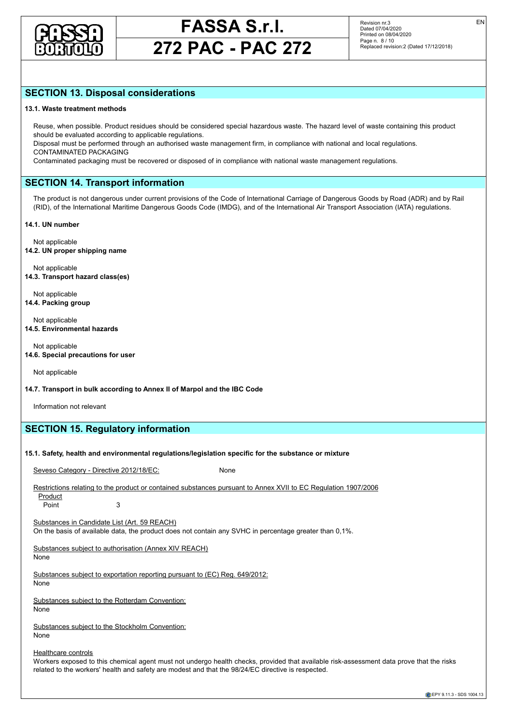

## **272 PAC - PAC 272**

Revision nr.3 Dated 07/04/2020 Printed on 08/04/2020 Page n. 8 / 10 Replaced revision:2 (Dated 17/12/2018) EN

## **SECTION 13. Disposal considerations**

#### **13.1. Waste treatment methods**

Reuse, when possible. Product residues should be considered special hazardous waste. The hazard level of waste containing this product should be evaluated according to applicable regulations.

Disposal must be performed through an authorised waste management firm, in compliance with national and local regulations. CONTAMINATED PACKAGING

Contaminated packaging must be recovered or disposed of in compliance with national waste management regulations.

## **SECTION 14. Transport information**

The product is not dangerous under current provisions of the Code of International Carriage of Dangerous Goods by Road (ADR) and by Rail (RID), of the International Maritime Dangerous Goods Code (IMDG), and of the International Air Transport Association (IATA) regulations.

#### **14.1. UN number**

Not applicable **14.2. UN proper shipping name**

Not applicable **14.3. Transport hazard class(es)**

Not applicable **14.4. Packing group**

Not applicable **14.5. Environmental hazards**

Not applicable **14.6. Special precautions for user**

Not applicable

**14.7. Transport in bulk according to Annex II of Marpol and the IBC Code**

Information not relevant

## **SECTION 15. Regulatory information**

#### **15.1. Safety, health and environmental regulations/legislation specific for the substance or mixture**

Seveso Category - Directive 2012/18/EC: None

Restrictions relating to the product or contained substances pursuant to Annex XVII to EC Regulation 1907/2006 Product

Point 3

Substances in Candidate List (Art. 59 REACH)

On the basis of available data, the product does not contain any SVHC in percentage greater than 0,1%.

Substances subject to authorisation (Annex XIV REACH) None

Substances subject to exportation reporting pursuant to (EC) Reg. 649/2012:

None

Substances subject to the Rotterdam Convention:

None

Substances subject to the Stockholm Convention: None

Healthcare controls

Workers exposed to this chemical agent must not undergo health checks, provided that available risk-assessment data prove that the risks related to the workers' health and safety are modest and that the 98/24/EC directive is respected.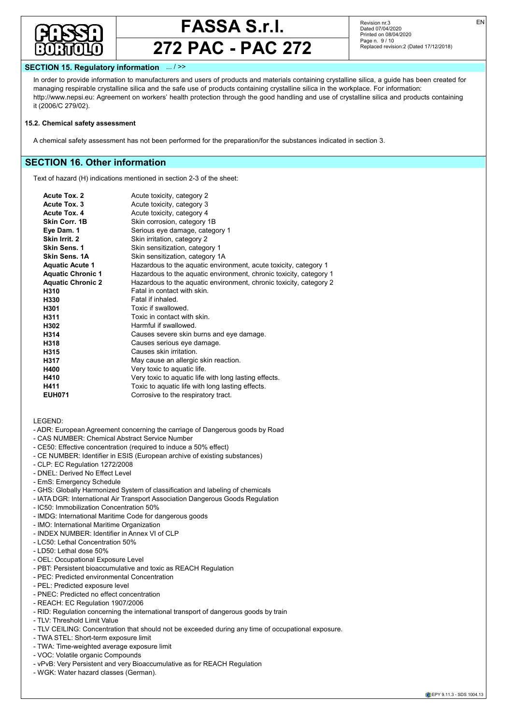

## **272 PAC - PAC 272**

Revision nr.3 Dated 07/04/2020 Printed on 08/04/2020 Page n. 9 / 10 Replaced revision:2 (Dated 17/12/2018) EN

## **SECTION 15. Regulatory information** ... / >>

In order to provide information to manufacturers and users of products and materials containing crystalline silica, a guide has been created for managing respirable crystalline silica and the safe use of products containing crystalline silica in the workplace. For information: http://www.nepsi.eu: Agreement on workers' health protection through the good handling and use of crystalline silica and products containing it (2006/C 279/02).

### **15.2. Chemical safety assessment**

A chemical safety assessment has not been performed for the preparation/for the substances indicated in section 3.

## **SECTION 16. Other information**

Text of hazard (H) indications mentioned in section 2-3 of the sheet:

| <b>Acute Tox. 2</b>      | Acute toxicity, category 2                                         |
|--------------------------|--------------------------------------------------------------------|
| Acute Tox. 3             | Acute toxicity, category 3                                         |
| Acute Tox. 4             | Acute toxicity, category 4                                         |
| Skin Corr. 1B            | Skin corrosion, category 1B                                        |
| Eye Dam. 1               | Serious eye damage, category 1                                     |
| Skin Irrit. 2            | Skin irritation, category 2                                        |
| Skin Sens. 1             | Skin sensitization, category 1                                     |
| Skin Sens. 1A            | Skin sensitization, category 1A                                    |
| <b>Aquatic Acute 1</b>   | Hazardous to the aquatic environment, acute toxicity, category 1   |
| <b>Aquatic Chronic 1</b> | Hazardous to the aquatic environment, chronic toxicity, category 1 |
| <b>Aquatic Chronic 2</b> | Hazardous to the aquatic environment, chronic toxicity, category 2 |
| H310                     | Fatal in contact with skin.                                        |
| H330                     | Fatal if inhaled.                                                  |
| H301                     | Toxic if swallowed.                                                |
| H311                     | Toxic in contact with skin.                                        |
| H302                     | Harmful if swallowed.                                              |
| H314                     | Causes severe skin burns and eye damage.                           |
| H318                     | Causes serious eye damage.                                         |
| H315                     | Causes skin irritation                                             |
| H317                     | May cause an allergic skin reaction.                               |
| H400                     | Very toxic to aquatic life.                                        |
| H410                     | Very toxic to aquatic life with long lasting effects.              |
| H411                     | Toxic to aquatic life with long lasting effects.                   |
| <b>EUH071</b>            | Corrosive to the respiratory tract.                                |
|                          |                                                                    |

LEGEND:

- ADR: European Agreement concerning the carriage of Dangerous goods by Road
- CAS NUMBER: Chemical Abstract Service Number
- CE50: Effective concentration (required to induce a 50% effect)
- CE NUMBER: Identifier in ESIS (European archive of existing substances)
- CLP: EC Regulation 1272/2008
- DNEL: Derived No Effect Level
- EmS: Emergency Schedule
- GHS: Globally Harmonized System of classification and labeling of chemicals
- IATA DGR: International Air Transport Association Dangerous Goods Regulation
- IC50: Immobilization Concentration 50%
- IMDG: International Maritime Code for dangerous goods
- IMO: International Maritime Organization
- INDEX NUMBER: Identifier in Annex VI of CLP
- LC50: Lethal Concentration 50%
- LD50: Lethal dose 50%
- OEL: Occupational Exposure Level
- PBT: Persistent bioaccumulative and toxic as REACH Regulation
- PEC: Predicted environmental Concentration
- PEL: Predicted exposure level
- PNEC: Predicted no effect concentration
- REACH: EC Regulation 1907/2006
- RID: Regulation concerning the international transport of dangerous goods by train
- TLV: Threshold Limit Value
- TLV CEILING: Concentration that should not be exceeded during any time of occupational exposure.
- TWA STEL: Short-term exposure limit
- TWA: Time-weighted average exposure limit
- VOC: Volatile organic Compounds
- vPvB: Very Persistent and very Bioaccumulative as for REACH Regulation
- WGK: Water hazard classes (German).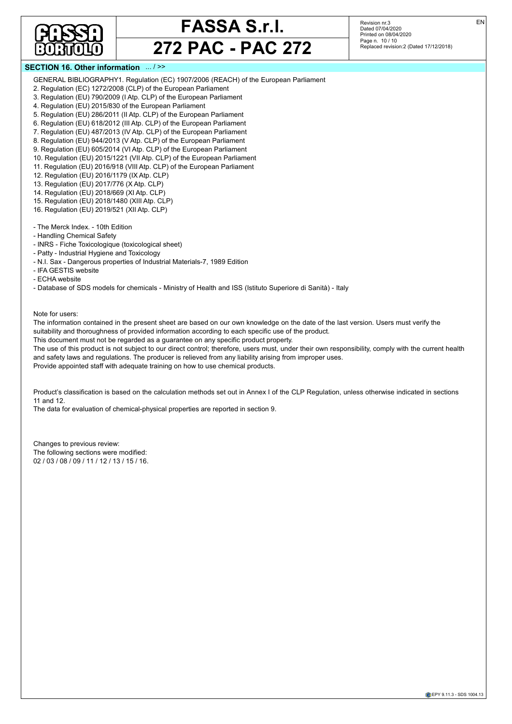

Revision nr.3 Dated 07/04/2020 Printed on 08/04/2020 Page n. 10 / 10 Replaced revision:2 (Dated 17/12/2018)

## **SECTION 16. Other information**

- GENERAL BIBLIOGRAPHY1. Regulation (EC) 1907/2006 (REACH) of the European Parliament
- 2. Regulation (EC) 1272/2008 (CLP) of the European Parliament
- 3. Regulation (EU) 790/2009 (I Atp. CLP) of the European Parliament
- 4. Regulation (EU) 2015/830 of the European Parliament
- 5. Regulation (EU) 286/2011 (II Atp. CLP) of the European Parliament
- 6. Regulation (EU) 618/2012 (III Atp. CLP) of the European Parliament
- 7. Regulation (EU) 487/2013 (IV Atp. CLP) of the European Parliament
- 8. Regulation (EU) 944/2013 (V Atp. CLP) of the European Parliament
- 9. Regulation (EU) 605/2014 (VI Atp. CLP) of the European Parliament
- 10. Regulation (EU) 2015/1221 (VII Atp. CLP) of the European Parliament
- 11. Regulation (EU) 2016/918 (VIII Atp. CLP) of the European Parliament
- 12. Regulation (EU) 2016/1179 (IX Atp. CLP)
- 13. Regulation (EU) 2017/776 (X Atp. CLP)
- 14. Regulation (EU) 2018/669 (XI Atp. CLP)
- 15. Regulation (EU) 2018/1480 (XIII Atp. CLP)
- 16. Regulation (EU) 2019/521 (XII Atp. CLP)
- The Merck Index. 10th Edition
- Handling Chemical Safety
- INRS Fiche Toxicologique (toxicological sheet)
- Patty Industrial Hygiene and Toxicology
- N.I. Sax Dangerous properties of Industrial Materials-7, 1989 Edition
- IFA GESTIS website
- ECHA website
- Database of SDS models for chemicals Ministry of Health and ISS (Istituto Superiore di Sanità) Italy

Note for users:

The information contained in the present sheet are based on our own knowledge on the date of the last version. Users must verify the suitability and thoroughness of provided information according to each specific use of the product.

This document must not be regarded as a guarantee on any specific product property.

The use of this product is not subject to our direct control; therefore, users must, under their own responsibility, comply with the current health and safety laws and regulations. The producer is relieved from any liability arising from improper uses. Provide appointed staff with adequate training on how to use chemical products.

Product's classification is based on the calculation methods set out in Annex I of the CLP Regulation, unless otherwise indicated in sections

11 and 12.

The data for evaluation of chemical-physical properties are reported in section 9.

Changes to previous review: The following sections were modified: 02 / 03 / 08 / 09 / 11 / 12 / 13 / 15 / 16.

EN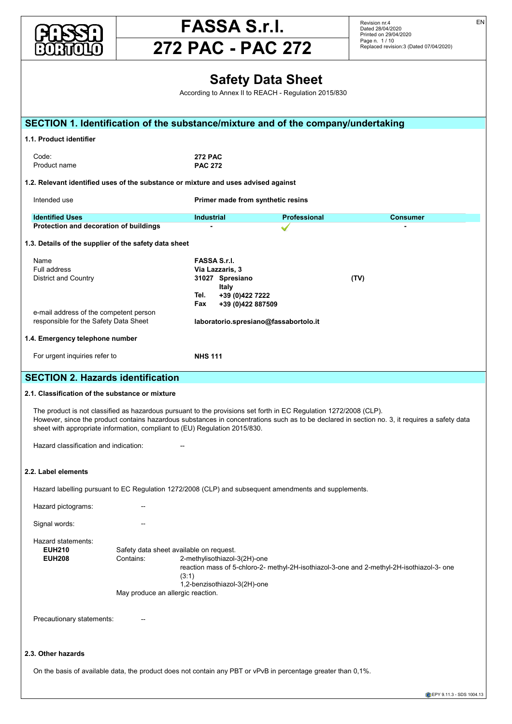



EN

#### **Safety Data Sheet**<br>According to Appey II to REACH, Regulation 2015/820 According to Annex II to REACH - Regulation 2015/830 **SECTION 1. Identification of the substance/mixture and of the company/undertaking 1.1. Product identifier** Code: **272 PAC** Product name **PAC 272 1.2. Relevant identified uses of the substance or mixture and uses advised against** *CAS 2634-33-5* 0,005 ≤ x < 0,05 **Acute Tox. 2 H330, Acute Tox. 4 H302, Eye Dam. 1 H318, Skin Irrit. 2 H315,** Intended use **Example 2 Primer made from synthetic resins** and the state of the synthetic resins of the synthetic resins of the synthetic resins of the synthetic resins of the synthetic resins of the synthetic resins of **Identified Uses** Consumer **Protection and decoration of buildings and acute Tox. 2 H310, Acute Tox. 2 H310, Scription Consumer<br>Protection and decoration of buildings and the set of the set of the set of the set of the set of the set of t** 1.3. Details of the supplier of the safety data sheet Name **FASSA S.r.l.** Via Lazzaris, 3<br>31027 Spresiano remainder with intertains, organization.<br>District and Country **1999** - 2012/18/Ec: 2012/28 Spresiano **2012/18/Ec: 2012/18/Ec: 2013 Italy** Tel.  $+39(0)4227222$  $\text{Fax}$   $\rightarrow$  439 (0)422 887509 e-mail address of the competent person responsible for the Safety Data Sheet **laboratorio.spresiano@fassabortolo.it** 1.4. Emergency telephone number For urgent inquiries refer to **NHS 111** NHS 111 **SECTION 2. Hazards identification** And the eyelids for at least 15 minutes, if present in the eyelids fully. If p 2.1. Classification of the substance or mixture The product is not classified as hazardous pursuant to the provisions set forth in EC Regulation 1272/2008 (CLP). However, since the product contains hazardous substances in concentrations such as to be declared in section no. 3, it requires a safety data Individual and the product comains nazardodo capetanicos in concentrations capitale to be doctained in coeffermediction. It is a capital and stated by the doctor individual sheet with appropriate information, compliant to Hazard classification and indication: The Community of the Community of the Community of the Community of the Community of the Community of the Community of the Community of the Community of the Community of the Community 2.2. Label elements Hazard labelling pursuant to EC Regulation 1272/2008 (CLP) and subsequent amendments and supplements. Hazard pictograms: The Contract of the Contract of the Contract of the Contract of the Contract of the Contract of the Contract of the Contract of the Contract of the Contract of the Contract of the Contract of the Contrac Signal words: **Acceleration criteria for this hazard classification criteria for the European Parliament Classification criteria for the European Parliament Classification (EU) 790/2009 (I Atlantic Classification criteria** Hazard statements: **References:** Hazard statements:<br>**EUH210** Safety data sheet available on request. **EUH208** Contains: 2-methylisothiazol-3(2H)-one extraction mass of 5-chloro-2- methyl-2H-isothiazol-3-one and 2-methyl-2H-isothiazol-3- one (3:1)  $(0.1)$ <br>1,2-benzisothiazol-3(2H)-one May produce an allergic reaction. Precautionary statements: Fig. 2016. The contract of the contract of the contract of the contract of the contract of the contract of the contract of the contract of the contract of the contract of the contract of the contr 2.3. Other hazards and the state of the state of the state of the state of the state of the state of the state On the basis of available data, the product does not contain any PBT or vPvB in percentage greater than 0,1%. For information on respirable crystalline silica, see section 11. Identification **x = Conc. % Classification 1272/2008 (CLP) 1,2-benzisothiazol-3(2H)-one Skin Sens. 1 H400 M41100 Mgamot** *EC 220-120-9* **Intended use Eye Dam. 1 H318, Skin Sens. 1A H317, Aquatic Acute 1 H400 M=100,** *INDEX 613-167-00-5* **2002**<br>Full address CAS **2682-20-4 2682-20-4 2682-20-5 Σ × 268 (2283-2015) 268 (2283-2015) 268 (2283-2015) 268 (228) 268 (228) 268 (228) 268 (228) 269 (228) 269 (228) 269 (228) 269 (228) 269 (228) 269 (228) 269**  $\frac{1}{2}$ The full discrete is a full wording of the sheet. SKIN: Remove contaminated clothing. Wash immediately with plenty of water. If irritation persists, get medical advice/attention. Wash sheet with appropriate information, compliant to (EU) Regulation 2015/830. **4.2. Most important symptoms and effects, both acute and delayed** Contains: **6.1. Personal precautions, protective equipment and emergency procedures** Block the leads in the leads in the leads of the leads of the leads of the leads of the leads of the leads of the leads of the leads of the leads of the leads of the leads of the leads of the leads of the leads of the lead  $\theta$  Pelevant identified uses of the substance or mixture and uses advised equipment referred to under Section 8 of the substance or mixture and uses or principal society of the substance of the substance of the sheet of any contamination of several clothing. The second personal clothing stations applied in emergency in emergency Protection and decoration of buildings<br>
Fig. 2014 Collect the leaked product into a suitable container. Evaluate the compatibility of the container to be used, by checking section 10. Absorb the Make sure the leakage site is well aired. Contaminated material should be disposed of in compliance with the provisions set forth in point 13. responsible for the Safety Data Sheet **and all aboratorio.spresiano@fassabortolo.it** Before handling the product, consult all the other sections of this material safety data sheet. Avoid leakage of the product into the **SECTION 2. Hazards identification** Keep the product in clearly labelled containers. Keep containers away from any incompatible materials, see section 10 for details.  $(3:1)$  $\mathsf{raduct}\ \mathsf{identifier}$  $\overline{272}$  PAC  $\overline{272}$  PAC duct name that the set of the set of the PAC 272 and the set of the set of the set of the set of the set of the set of the set of the set of the set of the set of the set of the set of the set of the set of the set of the .. Relevant identified uses of the substance or mixture and uses advised against ntified Uses **Professional Professional Professional Professional Professional Professional Professional Profession** Name Full address example from the Exercise of Alexandre Fraction ;  $\mathbf{y}$  = Thomas  $\mathbf{y}$  = Thomas  $\mathbf{y}$  = Thomas  $\mathbf{y}$  = Thomas  $\mathbf{y}$  = Thomas  $\mathbf{y}$  = Thomas  $\mathbf{y}$  = Thomas  $\mathbf{y}$  = Thomas  $\mathbf{y}$  = Thom e-mail address of the competent person  $\mathcal{L}$  professional long-sleeved overall long-sleeped overall long-standard EN ISO 2016/425 and standard EN ISO 20344,  $\mathcal{L}$ **Properties Properties Information Information Information Information Information Information Information**  $(3.1)$ On the basis of available data, the product does not contain any PBT or vPvB in percentage  $\rho_{\text{coordina}}$  to  $\rho_{\text{max}}$  $\lambda$  to containg to  $\lambda$  and <u>Viscosity Note available to the second the second term in the second term in the second term in the second term in</u> ECTION 1. Identification of the substance/mix  $T_{\text{total}}$  is stable in normal conditions of use and storage. It is the concentration of the concentration of the individual hazardous substances individual hazardous substances in section 3, to evaluate the individual hazardous substances in section 3, to evaluate the individual ha Information on respirable crystalline silica:  $T_{\text{target}}$  agency for  $\tilde{C}$  in  $\tilde{C}$  in  $\tilde{C}$  in  $\tilde{C}$  in  $\tilde{C}$  in  $\tilde{C}$  in  $\tilde{C}$  in  $\tilde{C}$  in  $\tilde{C}$  in  $\tilde{C}$  in  $\tilde{C}$  in  $\tilde{C}$  in  $\tilde{C}$  in  $\tilde{C}$  in  $\tilde{C}$  in  $\tilde{C}$  in  $\tilde{C}$ reaction mass of 5-chloro-2- methyl-2H-isothiazol-3-one and 2-methyl-2H-isothiazol-3- one<br>(2:1) Information not available Chronic NOEC for Fish 2,1 mg/l 28d  $\mathcal{L}$ Dode: Not component component component component  $\mathcal{L}$  and  $\mathcal{L}$  component component component  $\mathcal{L}$  and  $\mathcal{L}$  and  $\mathcal{L}$  and  $\mathcal{L}$  and  $\mathcal{L}$  and  $\mathcal{L}$  and  $\mathcal{L}$  and  $\mathcal{L}$  and  $\mathcal{L}$ Product name the mixture mixture of the mixture  $PAC$  272 Respiratory of the state of the state of the state of the state of the state of the state of the state of the state of the state of the state of the state of the state of the state of the state of the state of the state of  $\overline{\mathcal{D}}$  , we have the continuous for the continuous categories for this hazard classification continuous categories for  $\overline{\mathcal{D}}$  $p_{\text{max}}(3:1)$ On the basis of available data, the product does not contain any PBT or vPvB in percentage greate EC50 - for Crustacea 1,68 mg/l/48h ECTION 1. Identification of the substance/mix  $\text{Code:}$   $2/2 \text{ PAC}$ Product name **PAC 272**  $\scriptstyle\rm I$ . Relevant identified uses of the substance or mixture and use: For urgent inquiries refer to **NHS 111 12.4. Mobility** in solid solid solid solid solid solid solid solid solid solid solid solid solid solid solid solid solid solid solid solid solid solid solid solid solid solid solid solid solid solid solid solid solid soli Disposal must be performed through an authorised was tended was the performance with national and local regulations. In compliance with national regulations in compliance with national regulations. In compliance with natio EUH<sub>210</sub> **SECTION 14. Transport information** The product is not dangerous under current provisions of the Code of International Carriage of Dangerous Goods by Road (ADR) and by Rail Code: 15.1. Safety, health and environmental regulations in the substance of the substance or mixture or mixture or mixture or mixture or mixture or mixture or mixture. The substance or mixture or mixture or mixture or mixture o . Emergency telephone number<br>.  $S$  or export in quired rotor to  $\epsilon$ . Classification of the substance or mi: The product is not classified as hazardous pursuant to the provisions set forth in E Hazard classification and indication: In order to provide information to provide information to manufacturers and materials containing crystalline sition  $\mathcal{L}$ Hazard labelling pursuant to EC Regulation 1272/2008 (CLP) and subsequent amendments and supplements. **SECTION 16. Other information**  $T_{\text{C}\text{C}\text{C}\text{C}\text{D}}^{T_{\text{C}\text{C}}\text{C}\text{C}\text{D}}$  indication matrix on section **Acute Tox. 2** Acute toxicity, category 2 May produce an allergic reaction.  $S$  Soutianary ototomenter **Precautionary statements:** The Theorem 11 **Aquatic Acute 1** Hazardous to the aquatic environment, acute toxicity, category 1 On the basis of available data, the product does not contain any PBT or vPvB in percentage greate **H301** Toxic if swallowed. **H302** Harmful if swallowed. ECTION 1. Identification of the substance/mixture ar **S215** Causes in the provided information according to each specific use of the provided in the product. The product identities in the product identities in the product. The product identities in the product. The product i  $He$ :  $272$ **HAC 272** PAC 272 elevant identified uses of the substance or mixture and us <u>identified</u> . Details of the supplier of the safety data sheet  $\overline{\phantom{a}}$ Name and  $\mathcal{C}$ - GeHs: Globally Harmonized System of classification and labeling of chemicals of chemicals of chemicals of chemicals of chemicals of chemicals of chemicals of chemicals of chemicals of chemicals of chemicals of chemicals For urgent inquiries refer to  $-$  Person  $-$  Predicted exposure  $\alpha$  $(3:1)$ - Database of SDS models for chemicals - Ministry of Health and ISS (Istituto Superiore di Sanità) - Italy  $T_{\rm COGE}$  our direct control; the current must, under the current health the current health the current health the current health the current health the current health the current health the current health the current hea  $P$ roduct name  $P$  regulations. The product is relieved from inproper uses. The proper uses in proper uses. The proper uses of  $P$  and in proper uses. The proper uses of  $P$  and in proper uses. The proper uses of  $P$  and The data for evaluation of chemical-physical properties are reported in section  $\mathbf{r}_i$ . Emergency telephone number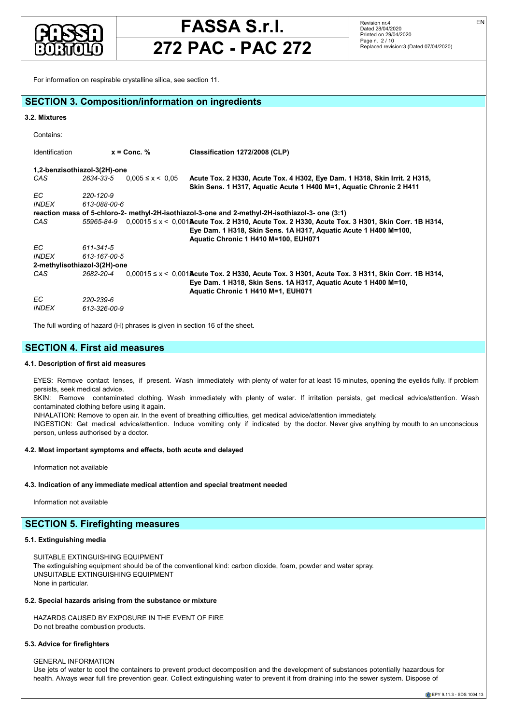

## **272 PAC - PAC 272**

EN

|                                                                                                                                                                                                                                                                                                                                                                                                                                                                                                                                                                                                                                                                                     | For information on respirable crystalline silica, see section 11.                      |                                                                                                                                                                                                                        |  |  |  |
|-------------------------------------------------------------------------------------------------------------------------------------------------------------------------------------------------------------------------------------------------------------------------------------------------------------------------------------------------------------------------------------------------------------------------------------------------------------------------------------------------------------------------------------------------------------------------------------------------------------------------------------------------------------------------------------|----------------------------------------------------------------------------------------|------------------------------------------------------------------------------------------------------------------------------------------------------------------------------------------------------------------------|--|--|--|
|                                                                                                                                                                                                                                                                                                                                                                                                                                                                                                                                                                                                                                                                                     | <b>SECTION 3. Composition/information on ingredients</b>                               |                                                                                                                                                                                                                        |  |  |  |
| 3.2. Mixtures                                                                                                                                                                                                                                                                                                                                                                                                                                                                                                                                                                                                                                                                       |                                                                                        |                                                                                                                                                                                                                        |  |  |  |
| Contains:                                                                                                                                                                                                                                                                                                                                                                                                                                                                                                                                                                                                                                                                           |                                                                                        |                                                                                                                                                                                                                        |  |  |  |
| Identification                                                                                                                                                                                                                                                                                                                                                                                                                                                                                                                                                                                                                                                                      | $x =$ Conc. %                                                                          | Classification 1272/2008 (CLP)                                                                                                                                                                                         |  |  |  |
|                                                                                                                                                                                                                                                                                                                                                                                                                                                                                                                                                                                                                                                                                     | 1,2-benzisothiazol-3(2H)-one                                                           |                                                                                                                                                                                                                        |  |  |  |
| CAS                                                                                                                                                                                                                                                                                                                                                                                                                                                                                                                                                                                                                                                                                 | 2634-33-5<br>$0,005 \le x \le 0,05$                                                    | Acute Tox. 2 H330, Acute Tox. 4 H302, Eye Dam. 1 H318, Skin Irrit. 2 H315,<br>Skin Sens. 1 H317, Aquatic Acute 1 H400 M=1, Aquatic Chronic 2 H411                                                                      |  |  |  |
| ЕC                                                                                                                                                                                                                                                                                                                                                                                                                                                                                                                                                                                                                                                                                  | 220-120-9                                                                              |                                                                                                                                                                                                                        |  |  |  |
| <b>INDEX</b>                                                                                                                                                                                                                                                                                                                                                                                                                                                                                                                                                                                                                                                                        | 613-088-00-6                                                                           | reaction mass of 5-chloro-2- methyl-2H-isothiazol-3-one and 2-methyl-2H-isothiazol-3- one (3:1)                                                                                                                        |  |  |  |
| CAS                                                                                                                                                                                                                                                                                                                                                                                                                                                                                                                                                                                                                                                                                 | 55965-84-9                                                                             | $0,00015$ ≤ x < 0,001 <b>A</b> cute Tox. 2 H310, Acute Tox. 2 H330, Acute Tox. 3 H301, Skin Corr. 1B H314,<br>Eye Dam. 1 H318, Skin Sens. 1A H317, Aquatic Acute 1 H400 M=100,<br>Aquatic Chronic 1 H410 M=100, EUH071 |  |  |  |
| EC.<br><b>INDEX</b>                                                                                                                                                                                                                                                                                                                                                                                                                                                                                                                                                                                                                                                                 | 611-341-5<br>613-167-00-5                                                              |                                                                                                                                                                                                                        |  |  |  |
|                                                                                                                                                                                                                                                                                                                                                                                                                                                                                                                                                                                                                                                                                     | 2-methylisothiazol-3(2H)-one                                                           |                                                                                                                                                                                                                        |  |  |  |
| CAS                                                                                                                                                                                                                                                                                                                                                                                                                                                                                                                                                                                                                                                                                 | 2682-20-4                                                                              | $0,00015 \le x < 0,001$ Acute Tox. 2 H330, Acute Tox. 3 H301, Acute Tox. 3 H311, Skin Corr. 1B H314,<br>Eye Dam. 1 H318, Skin Sens. 1A H317, Aquatic Acute 1 H400 M=10,<br>Aquatic Chronic 1 H410 M=1, EUH071          |  |  |  |
| EC<br><b>INDEX</b>                                                                                                                                                                                                                                                                                                                                                                                                                                                                                                                                                                                                                                                                  | 220-239-6<br>613-326-00-9                                                              |                                                                                                                                                                                                                        |  |  |  |
|                                                                                                                                                                                                                                                                                                                                                                                                                                                                                                                                                                                                                                                                                     | The full wording of hazard (H) phrases is given in section 16 of the sheet.            |                                                                                                                                                                                                                        |  |  |  |
|                                                                                                                                                                                                                                                                                                                                                                                                                                                                                                                                                                                                                                                                                     | <b>SECTION 4. First aid measures</b>                                                   |                                                                                                                                                                                                                        |  |  |  |
|                                                                                                                                                                                                                                                                                                                                                                                                                                                                                                                                                                                                                                                                                     | 4.1. Description of first aid measures                                                 |                                                                                                                                                                                                                        |  |  |  |
| EYES: Remove contact lenses, if present. Wash immediately with plenty of water for at least 15 minutes, opening the eyelids fully. If problem<br>persists, seek medical advice.<br>SKIN: Remove contaminated clothing. Wash immediately with plenty of water. If irritation persists, get medical advice/attention. Wash<br>contaminated clothing before using it again.<br>INHALATION: Remove to open air. In the event of breathing difficulties, get medical advice/attention immediately.<br>INGESTION: Get medical advice/attention. Induce vomiting only if indicated by the doctor. Never give anything by mouth to an unconscious<br>person, unless authorised by a doctor. |                                                                                        |                                                                                                                                                                                                                        |  |  |  |
|                                                                                                                                                                                                                                                                                                                                                                                                                                                                                                                                                                                                                                                                                     | 4.2. Most important symptoms and effects, both acute and delayed                       |                                                                                                                                                                                                                        |  |  |  |
| Information not available                                                                                                                                                                                                                                                                                                                                                                                                                                                                                                                                                                                                                                                           |                                                                                        |                                                                                                                                                                                                                        |  |  |  |
|                                                                                                                                                                                                                                                                                                                                                                                                                                                                                                                                                                                                                                                                                     | 4.3. Indication of any immediate medical attention and special treatment needed        |                                                                                                                                                                                                                        |  |  |  |
| Information not available                                                                                                                                                                                                                                                                                                                                                                                                                                                                                                                                                                                                                                                           |                                                                                        |                                                                                                                                                                                                                        |  |  |  |
|                                                                                                                                                                                                                                                                                                                                                                                                                                                                                                                                                                                                                                                                                     | <b>SECTION 5. Firefighting measures</b>                                                |                                                                                                                                                                                                                        |  |  |  |
| 5.1. Extinguishing media                                                                                                                                                                                                                                                                                                                                                                                                                                                                                                                                                                                                                                                            |                                                                                        |                                                                                                                                                                                                                        |  |  |  |
| None in particular.                                                                                                                                                                                                                                                                                                                                                                                                                                                                                                                                                                                                                                                                 | SUITABLE EXTINGUISHING EQUIPMENT<br>UNSUITABLE EXTINGUISHING EQUIPMENT                 | The extinguishing equipment should be of the conventional kind: carbon dioxide, foam, powder and water spray.                                                                                                          |  |  |  |
| 5.2. Special hazards arising from the substance or mixture                                                                                                                                                                                                                                                                                                                                                                                                                                                                                                                                                                                                                          |                                                                                        |                                                                                                                                                                                                                        |  |  |  |
|                                                                                                                                                                                                                                                                                                                                                                                                                                                                                                                                                                                                                                                                                     | HAZARDS CAUSED BY EXPOSURE IN THE EVENT OF FIRE<br>Do not breathe combustion products. |                                                                                                                                                                                                                        |  |  |  |

## **5.3. Advice for firefighters**

GENERAL INFORMATION

Use jets of water to cool the containers to prevent product decomposition and the development of substances potentially hazardous for health. Always wear full fire prevention gear. Collect extinguishing water to prevent it from draining into the sewer system. Dispose of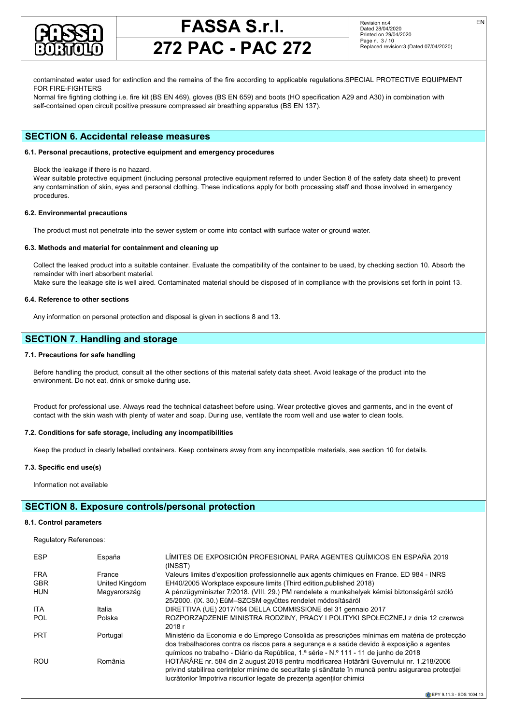

EN

## **272 PAC - PAC 272**

contaminated water used for extinction and the remains of the fire according to applicable regulations.SPECIAL PROTECTIVE EQUIPMENT FOR FIRE-FIGHTERS

Normal fire fighting clothing i.e. fire kit (BS EN 469), gloves (BS EN 659) and boots (HO specification A29 and A30) in combination with self-contained open circuit positive pressure compressed air breathing apparatus (BS EN 137).

## **SECTION 6. Accidental release measures**

## **6.1. Personal precautions, protective equipment and emergency procedures**

Block the leakage if there is no hazard.

Wear suitable protective equipment (including personal protective equipment referred to under Section 8 of the safety data sheet) to prevent any contamination of skin, eyes and personal clothing. These indications apply for both processing staff and those involved in emergency procedures.

## **6.2. Environmental precautions**

The product must not penetrate into the sewer system or come into contact with surface water or ground water.

### **6.3. Methods and material for containment and cleaning up**

Collect the leaked product into a suitable container. Evaluate the compatibility of the container to be used, by checking section 10. Absorb the remainder with inert absorbent material.

Make sure the leakage site is well aired. Contaminated material should be disposed of in compliance with the provisions set forth in point 13.

### **6.4. Reference to other sections**

Any information on personal protection and disposal is given in sections 8 and 13.

## **SECTION 7. Handling and storage**

## **7.1. Precautions for safe handling**

Before handling the product, consult all the other sections of this material safety data sheet. Avoid leakage of the product into the environment. Do not eat, drink or smoke during use.

Product for professional use. Always read the technical datasheet before using. Wear protective gloves and garments, and in the event of contact with the skin wash with plenty of water and soap. During use, ventilate the room well and use water to clean tools.

## **7.2. Conditions for safe storage, including any incompatibilities**

Keep the product in clearly labelled containers. Keep containers away from any incompatible materials, see section 10 for details.

### **7.3. Specific end use(s)**

Information not available

## **SECTION 8. Exposure controls/personal protection**

## **8.1. Control parameters**

Regulatory References:

| <b>ESP</b> | España         | LÍMITES DE EXPOSICIÓN PROFESIONAL PARA AGENTES QUÍMICOS EN ESPAÑA 2019<br>(INSST)                                                                                                                                                                                                   |
|------------|----------------|-------------------------------------------------------------------------------------------------------------------------------------------------------------------------------------------------------------------------------------------------------------------------------------|
| <b>FRA</b> | France         | Valeurs limites d'exposition professionnelle aux agents chimiques en France. ED 984 - INRS                                                                                                                                                                                          |
| <b>GBR</b> | United Kingdom | EH40/2005 Workplace exposure limits (Third edition, published 2018)                                                                                                                                                                                                                 |
| <b>HUN</b> | Magyarország   | A pénzügyminiszter 7/2018. (VIII. 29.) PM rendelete a munkahelyek kémiai biztonságáról szóló<br>25/2000. (IX. 30.) EüM-SZCSM együttes rendelet módosításáról                                                                                                                        |
| <b>ITA</b> | Italia         | DIRETTIVA (UE) 2017/164 DELLA COMMISSIONE del 31 gennaio 2017                                                                                                                                                                                                                       |
| <b>POL</b> | Polska         | ROZPORZĄDZENIE MINISTRA RODZINY, PRACY I POLITYKI SPOŁECZNEJ z dnia 12 czerwca<br>2018r                                                                                                                                                                                             |
| <b>PRT</b> | Portugal       | Ministério da Economia e do Emprego Consolida as prescrições mínimas em matéria de protecção<br>dos trabalhadores contra os riscos para a segurança e a saúde devido à exposição a agentes<br>guímicos no trabalho - Diário da República, 1.ª série - N.º 111 - 11 de junho de 2018 |
| <b>ROU</b> | România        | HOTĂRÂRE nr. 584 din 2 august 2018 pentru modificarea Hotărârii Guvernului nr. 1.218/2006<br>privind stabilirea cerințelor minime de securitate și sănătate în muncă pentru asigurarea protecției<br>lucrătorilor împotriva riscurilor legate de prezenta agentilor chimici         |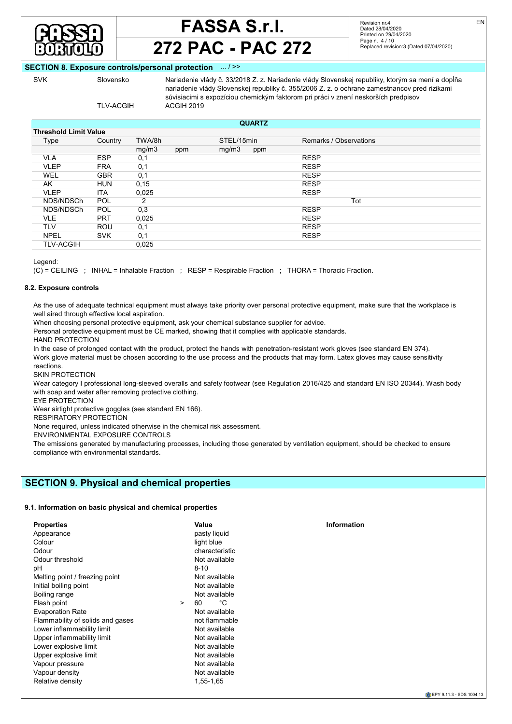

## **272 PAC - PAC 272**

Revision nr.4 Dated 28/04/2020 Printed on 29/04/2020 Page n. 4 / 10 Replaced revision:3 (Dated 07/04/2020) EN

## **SECTION 8. Exposure controls/personal protection**

SVK Slovensko Nariadenie vlády č. 33/2018 Z. z. Nariadenie vlády Slovenskej republiky, ktorým sa mení a dopĺňa nariadenie vlády Slovenskej republiky č. 355/2006 Z. z. o ochrane zamestnancov pred rizikami súvisiacimi s expozíciou chemickým faktorom pri práci v znení neskorších predpisov TLV-ACGIH ACGIH 2019

## **Threshold Limit Value**

| inresnoid Limit value |            |        |     |            |     |                        |
|-----------------------|------------|--------|-----|------------|-----|------------------------|
| Type                  | Country    | TWA/8h |     | STEL/15min |     | Remarks / Observations |
|                       |            | mg/m3  | ppm | mg/m3      | ppm |                        |
| <b>VLA</b>            | <b>ESP</b> | 0,1    |     |            |     | <b>RESP</b>            |
| <b>VLEP</b>           | <b>FRA</b> | 0,1    |     |            |     | <b>RESP</b>            |
| WEL                   | <b>GBR</b> | 0,1    |     |            |     | <b>RESP</b>            |
| AK                    | <b>HUN</b> | 0, 15  |     |            |     | <b>RESP</b>            |
| <b>VLEP</b>           | ITA        | 0,025  |     |            |     | <b>RESP</b>            |
| NDS/NDSCh             | <b>POL</b> | 2      |     |            |     | Tot                    |
| NDS/NDSCh             | <b>POL</b> | 0,3    |     |            |     | <b>RESP</b>            |
| <b>VLE</b>            | <b>PRT</b> | 0,025  |     |            |     | <b>RESP</b>            |
| TLV                   | <b>ROU</b> | 0,1    |     |            |     | <b>RESP</b>            |
| <b>NPEL</b>           | <b>SVK</b> | 0,1    |     |            |     | <b>RESP</b>            |
| <b>TLV-ACGIH</b>      |            | 0,025  |     |            |     |                        |
|                       |            |        |     |            |     |                        |

**QUARTZ**

Legend:

(C) = CEILING ; INHAL = Inhalable Fraction ; RESP = Respirable Fraction ; THORA = Thoracic Fraction.

## **8.2. Exposure controls**

As the use of adequate technical equipment must always take priority over personal protective equipment, make sure that the workplace is well aired through effective local aspiration.

When choosing personal protective equipment, ask your chemical substance supplier for advice.

Personal protective equipment must be CE marked, showing that it complies with applicable standards.

HAND PROTECTION

In the case of prolonged contact with the product, protect the hands with penetration-resistant work gloves (see standard EN 374). Work glove material must be chosen according to the use process and the products that may form. Latex gloves may cause sensitivity

reactions. SKIN PROTECTION

Wear category I professional long-sleeved overalls and safety footwear (see Regulation 2016/425 and standard EN ISO 20344). Wash body with soap and water after removing protective clothing.

EYE PROTECTION

Wear airtight protective goggles (see standard EN 166).

RESPIRATORY PROTECTION

None required, unless indicated otherwise in the chemical risk assessment.

ENVIRONMENTAL EXPOSURE CONTROLS

The emissions generated by manufacturing processes, including those generated by ventilation equipment, should be checked to ensure compliance with environmental standards.

## **SECTION 9. Physical and chemical properties**

## **9.1. Information on basic physical and chemical properties**

| <b>Properties</b>                | Value              | <b>Information</b> |
|----------------------------------|--------------------|--------------------|
| Appearance                       | pasty liquid       |                    |
| Colour                           | light blue         |                    |
| Odour                            | characteristic     |                    |
| Odour threshold                  | Not available      |                    |
| рH                               | $8 - 10$           |                    |
| Melting point / freezing point   | Not available      |                    |
| Initial boiling point            | Not available      |                    |
| Boiling range                    | Not available      |                    |
| Flash point                      | °C<br>60<br>$\geq$ |                    |
| <b>Evaporation Rate</b>          | Not available      |                    |
| Flammability of solids and gases | not flammable      |                    |
| Lower inflammability limit       | Not available      |                    |
| Upper inflammability limit       | Not available      |                    |
| Lower explosive limit            | Not available      |                    |
| Upper explosive limit            | Not available      |                    |
| Vapour pressure                  | Not available      |                    |
| Vapour density                   | Not available      |                    |
| Relative density                 | 1,55-1,65          |                    |
|                                  |                    |                    |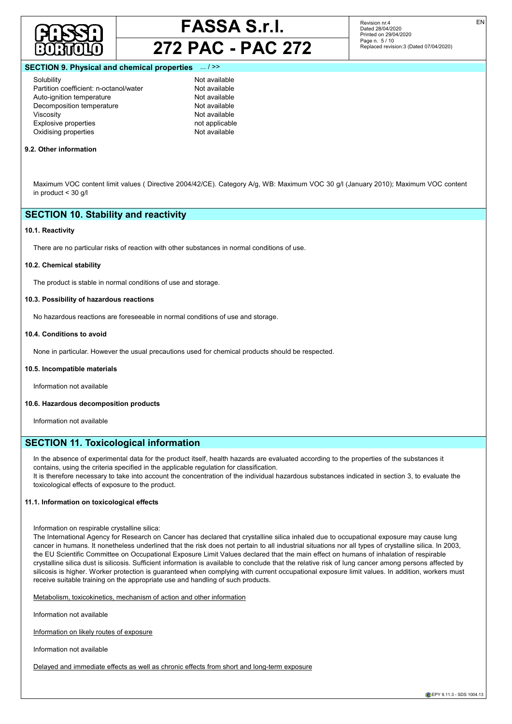



Revision nr.4 Dated 28/04/2020 Printed on 29/04/2020 Page n. 5 / 10 Replaced revision:3 (Dated 07/04/2020)

### **SECTION 9. Physical and chemical properties**

Solubility Not available Partition coefficient: n-octanol/water **Not available**<br>Auto-ignition temperature **Not available** Auto-ignition temperature Decomposition temperature Not available Viscosity<br>
Explosive properties<br>
Explosive properties<br>
Section 2001 2012<br>
Mot available<br>  $\overline{C}$  and  $\overline{C}$  and  $\overline{C}$  and  $\overline{C}$  and  $\overline{C}$  and  $\overline{C}$  and  $\overline{C}$  are  $\overline{C}$  and  $\overline{C}$  and  $\overline{C}$  are  $\over$ Explosive properties Oxidising properties Not available

#### **9.2. Other information**

Maximum VOC content limit values ( Directive 2004/42/CE). Category A/g, WB: Maximum VOC 30 g/l (January 2010); Maximum VOC content in product < 30 g/l

## **SECTION 10. Stability and reactivity**

#### **10.1. Reactivity**

There are no particular risks of reaction with other substances in normal conditions of use.

#### **10.2. Chemical stability**

The product is stable in normal conditions of use and storage.

## **10.3. Possibility of hazardous reactions**

No hazardous reactions are foreseeable in normal conditions of use and storage.

## **10.4. Conditions to avoid**

None in particular. However the usual precautions used for chemical products should be respected.

#### **10.5. Incompatible materials**

Information not available

### **10.6. Hazardous decomposition products**

Information not available

## **SECTION 11. Toxicological information**

In the absence of experimental data for the product itself, health hazards are evaluated according to the properties of the substances it contains, using the criteria specified in the applicable regulation for classification.

It is therefore necessary to take into account the concentration of the individual hazardous substances indicated in section 3, to evaluate the toxicological effects of exposure to the product.

## **11.1. Information on toxicological effects**

Information on respirable crystalline silica:

The International Agency for Research on Cancer has declared that crystalline silica inhaled due to occupational exposure may cause lung cancer in humans. It nonetheless underlined that the risk does not pertain to all industrial situations nor all types of crystalline silica. In 2003, the EU Scientific Committee on Occupational Exposure Limit Values declared that the main effect on humans of inhalation of respirable crystalline silica dust is silicosis. Sufficient information is available to conclude that the relative risk of lung cancer among persons affected by silicosis is higher. Worker protection is guaranteed when complying with current occupational exposure limit values. In addition, workers must receive suitable training on the appropriate use and handling of such products.

Metabolism, toxicokinetics, mechanism of action and other information

Information not available

Information on likely routes of exposure

Information not available

Delayed and immediate effects as well as chronic effects from short and long-term exposure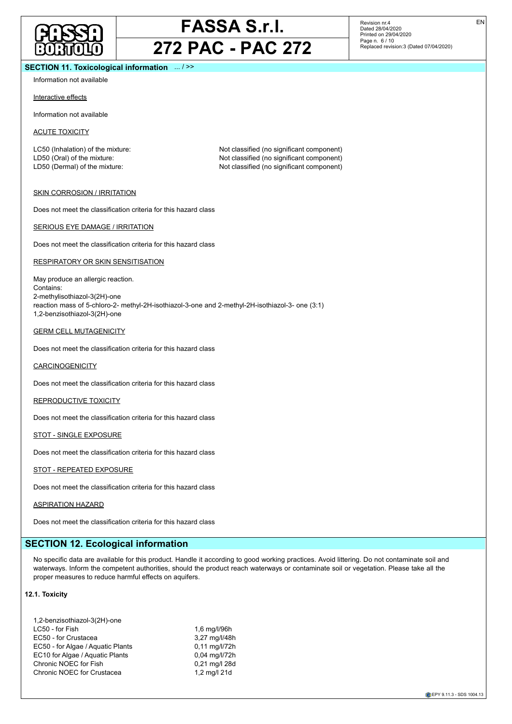

Revision nr.4 Dated 28/04/2020 Printed on 29/04/2020 Page n. 6 / 10 Replaced revision:3 (Dated 07/04/2020)

## **SECTION 11. Toxicological information** ... / >>

Information not available

#### Interactive effects

Information not available

ACUTE TOXICITY

LC50 (Inhalation) of the mixture: Not classified (no significant component) LD50 (Oral) of the mixture:  $\blacksquare$ <br>
LD50 (Dermal) of the mixture: Not classified (no significant component)<br>
Not classified (no significant component) Not classified (no significant component)

#### SKIN CORROSION / IRRITATION

Does not meet the classification criteria for this hazard class

#### SERIOUS EYE DAMAGE / IRRITATION

Does not meet the classification criteria for this hazard class

#### RESPIRATORY OR SKIN SENSITISATION

May produce an allergic reaction. Contains: 2-methylisothiazol-3(2H)-one reaction mass of 5-chloro-2- methyl-2H-isothiazol-3-one and 2-methyl-2H-isothiazol-3- one (3:1) 1,2-benzisothiazol-3(2H)-one

#### GERM CELL MUTAGENICITY

Does not meet the classification criteria for this hazard class

#### **CARCINOGENICITY**

Does not meet the classification criteria for this hazard class

## REPRODUCTIVE TOXICITY

Does not meet the classification criteria for this hazard class

#### STOT - SINGLE EXPOSURE

Does not meet the classification criteria for this hazard class

#### STOT - REPEATED EXPOSURE

Does not meet the classification criteria for this hazard class

#### ASPIRATION HAZARD

Does not meet the classification criteria for this hazard class

## **SECTION 12. Ecological information**

No specific data are available for this product. Handle it according to good working practices. Avoid littering. Do not contaminate soil and waterways. Inform the competent authorities, should the product reach waterways or contaminate soil or vegetation. Please take all the proper measures to reduce harmful effects on aquifers.

#### **12.1. Toxicity**

| 1,2-benzisothiazol-3(2H)-one      |               |
|-----------------------------------|---------------|
| LC50 - for Fish                   | 1,6 mg/l/96h  |
| EC50 - for Crustacea              | 3,27 mg/l/48h |
| EC50 - for Algae / Aguatic Plants | 0.11 mg/l/72h |
| EC10 for Algae / Aguatic Plants   | 0.04 mg/l/72h |
| Chronic NOEC for Fish             | 0,21 mg/l 28d |
| Chronic NOEC for Crustacea        | 1,2 mg/l 21d  |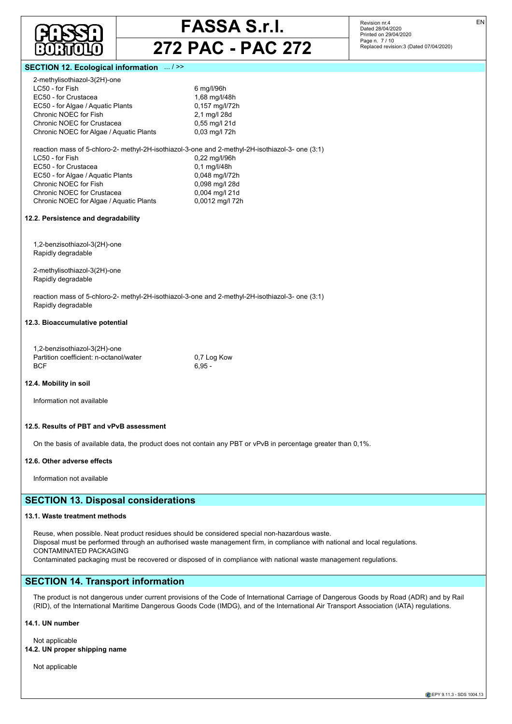

**272 PAC - PAC 272**

Revision nr.4 Dated 28/04/2020 Printed on 29/04/2020 Page n. 7 / 10 Replaced revision:3 (Dated 07/04/2020) EN

## **SECTION 12. Ecological information**

| 2-methylisothiazol-3(2H)-one                       |                                                                                                 |
|----------------------------------------------------|-------------------------------------------------------------------------------------------------|
| LC50 - for Fish                                    | 6 mg/l/96h                                                                                      |
| EC50 - for Crustacea                               | 1,68 mg/l/48h                                                                                   |
| EC50 - for Algae / Aquatic Plants                  | 0,157 mg/l/72h                                                                                  |
| Chronic NOEC for Fish                              | 2,1 mg/l 28d                                                                                    |
| Chronic NOEC for Crustacea                         | 0,55 mg/l 21d                                                                                   |
| Chronic NOEC for Algae / Aquatic Plants            | 0,03 mg/l 72h                                                                                   |
|                                                    | reaction mass of 5-chloro-2- methyl-2H-isothiazol-3-one and 2-methyl-2H-isothiazol-3- one (3:1) |
| LC50 - for Fish                                    | 0,22 mg/l/96h                                                                                   |
| EC50 - for Crustacea                               | 0,1 mg/l/48h                                                                                    |
| EC50 - for Algae / Aquatic Plants                  | 0,048 mg/l/72h                                                                                  |
| Chronic NOEC for Fish                              | 0,098 mg/l 28d                                                                                  |
| Chronic NOEC for Crustacea                         | 0,004 mg/l 21d                                                                                  |
| Chronic NOEC for Algae / Aquatic Plants            | 0,0012 mg/l 72h                                                                                 |
| 12.2. Persistence and degradability                |                                                                                                 |
| 1,2-benzisothiazol-3(2H)-one<br>Rapidly degradable |                                                                                                 |
|                                                    |                                                                                                 |
| 2-methylisothiazol-3(2H)-one<br>Rapidly degradable |                                                                                                 |
|                                                    | reaction mass of 5-chloro-2- methyl-2H-isothiazol-3-one and 2-methyl-2H-isothiazol-3- one (3:1) |
| Rapidly degradable                                 |                                                                                                 |
| 12.3. Bioaccumulative potential                    |                                                                                                 |
| 1,2-benzisothiazol-3(2H)-one                       |                                                                                                 |
| Partition coefficient: n-octanol/water             | 0,7 Log Kow                                                                                     |

## **12.4. Mobility in soil**

Information not available

#### **12.5. Results of PBT and vPvB assessment**

On the basis of available data, the product does not contain any PBT or vPvB in percentage greater than 0,1%.

#### **12.6. Other adverse effects**

Information not available

## **SECTION 13. Disposal considerations**

 $BCF$  6,95 -

### **13.1. Waste treatment methods**

Reuse, when possible. Neat product residues should be considered special non-hazardous waste. Disposal must be performed through an authorised waste management firm, in compliance with national and local regulations. CONTAMINATED PACKAGING Contaminated packaging must be recovered or disposed of in compliance with national waste management regulations.

## **SECTION 14. Transport information**

The product is not dangerous under current provisions of the Code of International Carriage of Dangerous Goods by Road (ADR) and by Rail (RID), of the International Maritime Dangerous Goods Code (IMDG), and of the International Air Transport Association (IATA) regulations.

## **14.1. UN number**

Not applicable **14.2. UN proper shipping name**

Not applicable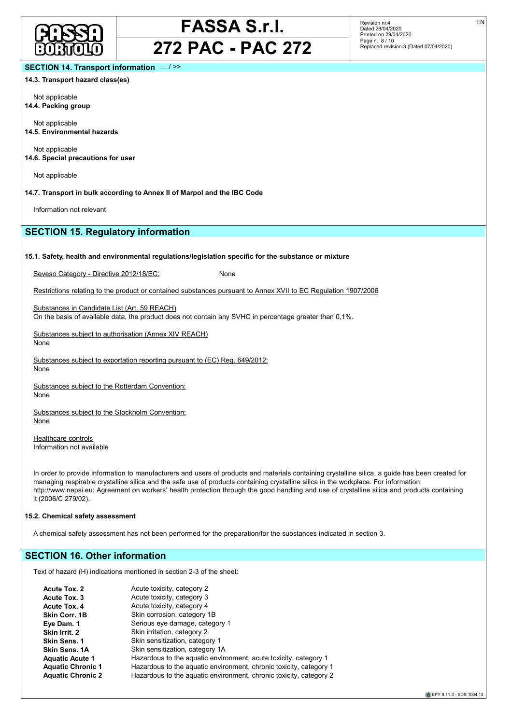

## **272 PAC - PAC 272**

Revision nr.4 Dated 28/04/2020 Printed on 29/04/2020 Page n. 8 / 10 Replaced revision:3 (Dated 07/04/2020) EN

## **SECTION 14. Transport information** ... / >>

**14.3. Transport hazard class(es)**

Not applicable **14.4. Packing group**

Not applicable **14.5. Environmental hazards**

Not applicable **14.6. Special precautions for user**

Not applicable

**14.7. Transport in bulk according to Annex II of Marpol and the IBC Code**

Information not relevant

## **SECTION 15. Regulatory information**

#### **15.1. Safety, health and environmental regulations/legislation specific for the substance or mixture**

Seveso Category - Directive 2012/18/EC: None

Restrictions relating to the product or contained substances pursuant to Annex XVII to EC Regulation 1907/2006

Substances in Candidate List (Art. 59 REACH) On the basis of available data, the product does not contain any SVHC in percentage greater than 0,1%.

Substances subject to authorisation (Annex XIV REACH) None

Substances subject to exportation reporting pursuant to (EC) Reg. 649/2012: None

Substances subject to the Rotterdam Convention: None

Substances subject to the Stockholm Convention: None

Healthcare controls Information not available

In order to provide information to manufacturers and users of products and materials containing crystalline silica, a guide has been created for managing respirable crystalline silica and the safe use of products containing crystalline silica in the workplace. For information: http://www.nepsi.eu: Agreement on workers' health protection through the good handling and use of crystalline silica and products containing it (2006/C 279/02).

### **15.2. Chemical safety assessment**

A chemical safety assessment has not been performed for the preparation/for the substances indicated in section 3.

## **SECTION 16. Other information**

Text of hazard (H) indications mentioned in section 2-3 of the sheet:

| Acute toxicity, category 2                                         |
|--------------------------------------------------------------------|
| Acute toxicity, category 3                                         |
| Acute toxicity, category 4                                         |
| Skin corrosion, category 1B                                        |
| Serious eye damage, category 1                                     |
| Skin irritation, category 2                                        |
| Skin sensitization, category 1                                     |
| Skin sensitization, category 1A                                    |
| Hazardous to the aquatic environment, acute toxicity, category 1   |
| Hazardous to the aquatic environment, chronic toxicity, category 1 |
| Hazardous to the aquatic environment, chronic toxicity, category 2 |
|                                                                    |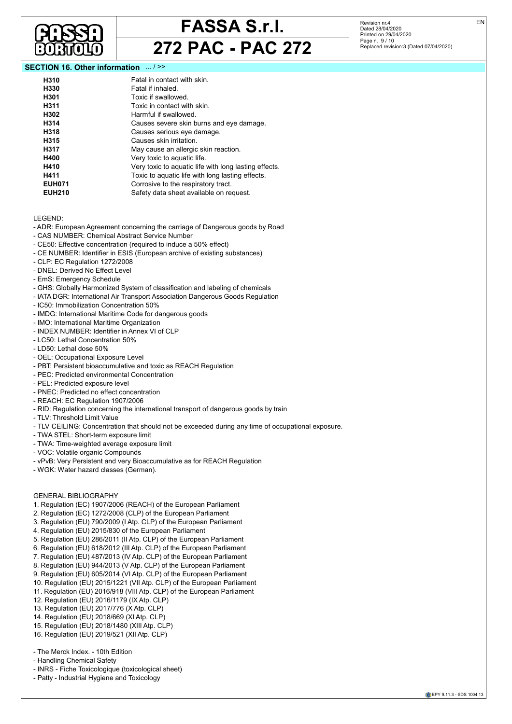

Revision nr.4 Dated 28/04/2020 Printed on 29/04/2020 Page n. 9 / 10 Replaced revision:3 (Dated 07/04/2020)

## **SECTION 16. Other information** ... / >>

| H310             | Fatal in contact with skin.                           |
|------------------|-------------------------------------------------------|
| H330             | Fatal if inhaled.                                     |
| H <sub>301</sub> | Toxic if swallowed.                                   |
| H311             | Toxic in contact with skin.                           |
| H302             | Harmful if swallowed.                                 |
| H314             | Causes severe skin burns and eye damage.              |
| H318             | Causes serious eye damage.                            |
| H315             | Causes skin irritation.                               |
| H317             | May cause an allergic skin reaction.                  |
| H400             | Very toxic to aquatic life.                           |
| H410             | Very toxic to aquatic life with long lasting effects. |
| H411             | Toxic to aquatic life with long lasting effects.      |
| <b>EUH071</b>    | Corrosive to the respiratory tract.                   |
| <b>EUH210</b>    | Safety data sheet available on request.               |
|                  |                                                       |

LEGEND:

- ADR: European Agreement concerning the carriage of Dangerous goods by Road
- CAS NUMBER: Chemical Abstract Service Number
- CE50: Effective concentration (required to induce a 50% effect)
- CE NUMBER: Identifier in ESIS (European archive of existing substances)
- CLP: EC Regulation 1272/2008
- DNEL: Derived No Effect Level
- EmS: Emergency Schedule
- GHS: Globally Harmonized System of classification and labeling of chemicals
- IATA DGR: International Air Transport Association Dangerous Goods Regulation
- IC50: Immobilization Concentration 50%
- IMDG: International Maritime Code for dangerous goods
- IMO: International Maritime Organization
- INDEX NUMBER: Identifier in Annex VI of CLP
- LC50: Lethal Concentration 50%
- LD50: Lethal dose 50%
- OEL: Occupational Exposure Level
- PBT: Persistent bioaccumulative and toxic as REACH Regulation
- PEC: Predicted environmental Concentration
- PEL: Predicted exposure level
- PNEC: Predicted no effect concentration
- REACH: EC Regulation 1907/2006
- RID: Regulation concerning the international transport of dangerous goods by train
- TLV: Threshold Limit Value
- TLV CEILING: Concentration that should not be exceeded during any time of occupational exposure.
- TWA STEL: Short-term exposure limit
- TWA: Time-weighted average exposure limit
- VOC: Volatile organic Compounds
- vPvB: Very Persistent and very Bioaccumulative as for REACH Regulation
- WGK: Water hazard classes (German).

## GENERAL BIBLIOGRAPHY

- 1. Regulation (EC) 1907/2006 (REACH) of the European Parliament
- 2. Regulation (EC) 1272/2008 (CLP) of the European Parliament
- 3. Regulation (EU) 790/2009 (I Atp. CLP) of the European Parliament
- 4. Regulation (EU) 2015/830 of the European Parliament
- 5. Regulation (EU) 286/2011 (II Atp. CLP) of the European Parliament
- 6. Regulation (EU) 618/2012 (III Atp. CLP) of the European Parliament
- 7. Regulation (EU) 487/2013 (IV Atp. CLP) of the European Parliament
- 8. Regulation (EU) 944/2013 (V Atp. CLP) of the European Parliament
- 9. Regulation (EU) 605/2014 (VI Atp. CLP) of the European Parliament
- 10. Regulation (EU) 2015/1221 (VII Atp. CLP) of the European Parliament
- 11. Regulation (EU) 2016/918 (VIII Atp. CLP) of the European Parliament
- 12. Regulation (EU) 2016/1179 (IX Atp. CLP)
- 13. Regulation (EU) 2017/776 (X Atp. CLP)
- 14. Regulation (EU) 2018/669 (XI Atp. CLP)
- 15. Regulation (EU) 2018/1480 (XIII Atp. CLP)
- 16. Regulation (EU) 2019/521 (XII Atp. CLP)
- The Merck Index. 10th Edition
- Handling Chemical Safety
- INRS Fiche Toxicologique (toxicological sheet)
- Patty Industrial Hygiene and Toxicology